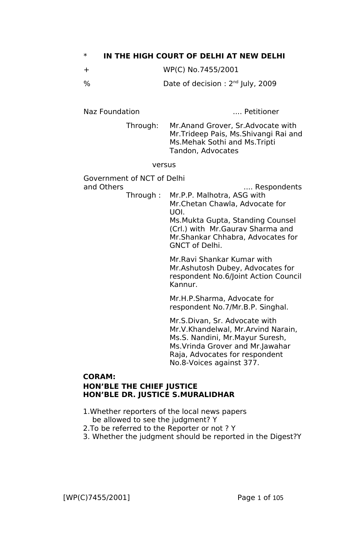| $\ast$ |  |  | IN THE HIGH COURT OF DELHI AT NEW DELHI |  |
|--------|--|--|-----------------------------------------|--|
|--------|--|--|-----------------------------------------|--|

| $\pm$  | WP(C) No.7455/2001                                                                                                                                                                                                                                                                                                                                                                                                                                                                         |  |  |
|--------|--------------------------------------------------------------------------------------------------------------------------------------------------------------------------------------------------------------------------------------------------------------------------------------------------------------------------------------------------------------------------------------------------------------------------------------------------------------------------------------------|--|--|
| $\sim$ | $\blacksquare$ $\blacksquare$ $\blacksquare$ $\blacksquare$ $\blacksquare$ $\blacksquare$ $\blacksquare$ $\blacksquare$ $\blacksquare$ $\blacksquare$ $\blacksquare$ $\blacksquare$ $\blacksquare$ $\blacksquare$ $\blacksquare$ $\blacksquare$ $\blacksquare$ $\blacksquare$ $\blacksquare$ $\blacksquare$ $\blacksquare$ $\blacksquare$ $\blacksquare$ $\blacksquare$ $\blacksquare$ $\blacksquare$ $\blacksquare$ $\blacksquare$ $\blacksquare$ $\blacksquare$ $\blacksquare$ $\blacks$ |  |  |

% Date of decision :  $2<sup>nd</sup>$  July, 2009

Naz Foundation .... Petitioner

Through: Mr.Anand Grover, Sr.Advocate with Mr.Trideep Pais, Ms.Shivangi Rai and Ms.Mehak Sothi and Ms.Tripti Tandon, Advocates

## versus

Government of NCT of Delhi

and Others **and Others and Others .... Respondents** 

Through : Mr.P.P. Malhotra, ASG with Mr.Chetan Chawla, Advocate for UOI.

Ms.Mukta Gupta, Standing Counsel (Crl.) with Mr.Gaurav Sharma and Mr.Shankar Chhabra, Advocates for GNCT of Delhi.

Mr.Ravi Shankar Kumar with Mr.Ashutosh Dubey, Advocates for respondent No.6/Joint Action Council Kannur.

Mr.H.P.Sharma, Advocate for respondent No.7/Mr.B.P. Singhal.

Mr.S.Divan, Sr. Advocate with Mr.V.Khandelwal, Mr.Arvind Narain, Ms.S. Nandini, Mr.Mayur Suresh, Ms.Vrinda Grover and Mr.Jawahar Raja, Advocates for respondent No.8-Voices against 377.

# **CORAM: HON'BLE THE CHIEF JUSTICE HON'BLE DR. JUSTICE S.MURALIDHAR**

- 1.Whether reporters of the local news papers be allowed to see the judgment? Y
- 2.To be referred to the Reporter or not ? Y
- 3. Whether the judgment should be reported in the Digest?Y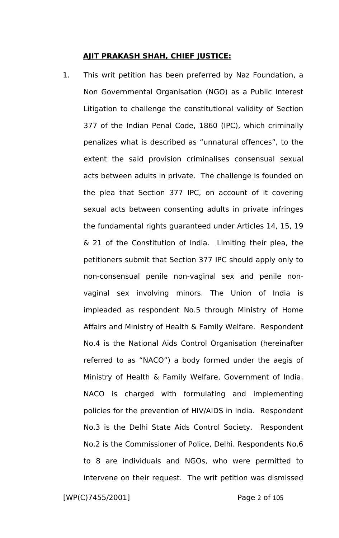### **AJIT PRAKASH SHAH, CHIEF JUSTICE:**

1. This writ petition has been preferred by Naz Foundation, a Non Governmental Organisation (NGO) as a Public Interest Litigation to challenge the constitutional validity of Section 377 of the Indian Penal Code, 1860 (IPC), which criminally penalizes what is described as "unnatural offences", to the extent the said provision criminalises consensual sexual acts between adults in private. The challenge is founded on the plea that Section 377 IPC, on account of it covering sexual acts between consenting adults in private infringes the fundamental rights guaranteed under Articles 14, 15, 19 & 21 of the Constitution of India. Limiting their plea, the petitioners submit that Section 377 IPC should apply only to non-consensual penile non-vaginal sex and penile nonvaginal sex involving minors. The Union of India is impleaded as respondent No.5 through Ministry of Home Affairs and Ministry of Health & Family Welfare. Respondent No.4 is the National Aids Control Organisation (hereinafter referred to as "NACO") a body formed under the aegis of Ministry of Health & Family Welfare, Government of India. NACO is charged with formulating and implementing policies for the prevention of HIV/AIDS in India. Respondent No.3 is the Delhi State Aids Control Society. Respondent No.2 is the Commissioner of Police, Delhi. Respondents No.6 to 8 are individuals and NGOs, who were permitted to intervene on their request. The writ petition was dismissed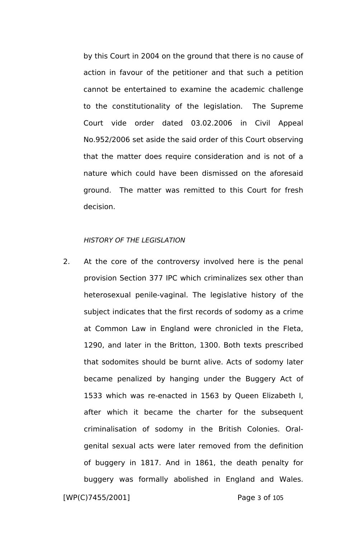by this Court in 2004 on the ground that there is no cause of action in favour of the petitioner and that such a petition cannot be entertained to examine the academic challenge to the constitutionality of the legislation. The Supreme Court vide order dated 03.02.2006 in Civil Appeal No.952/2006 set aside the said order of this Court observing that the matter does require consideration and is not of a nature which could have been dismissed on the aforesaid ground. The matter was remitted to this Court for fresh decision.

#### HISTORY OF THE LEGISLATION

2. At the core of the controversy involved here is the penal provision Section 377 IPC which criminalizes sex other than heterosexual penile-vaginal. The legislative history of the subject indicates that the first records of sodomy as a crime at Common Law in England were chronicled in the Fleta, 1290, and later in the Britton, 1300. Both texts prescribed that sodomites should be burnt alive. Acts of sodomy later became penalized by hanging under the Buggery Act of 1533 which was re-enacted in 1563 by Queen Elizabeth I, after which it became the charter for the subsequent criminalisation of sodomy in the British Colonies. Oralgenital sexual acts were later removed from the definition of buggery in 1817. And in 1861, the death penalty for buggery was formally abolished in England and Wales.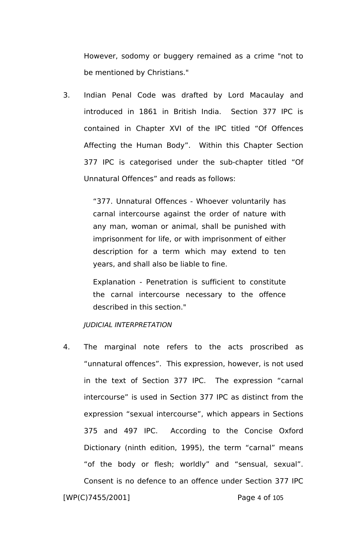However, sodomy or buggery remained as a crime "not to be mentioned by Christians."

3. Indian Penal Code was drafted by Lord Macaulay and introduced in 1861 in British India. Section 377 IPC is contained in Chapter XVI of the IPC titled "Of Offences Affecting the Human Body". Within this Chapter Section 377 IPC is categorised under the sub-chapter titled "Of Unnatural Offences" and reads as follows:

> "377. Unnatural Offences - Whoever voluntarily has carnal intercourse against the order of nature with any man, woman or animal, shall be punished with imprisonment for life, or with imprisonment of either description for a term which may extend to ten years, and shall also be liable to fine.

> Explanation - Penetration is sufficient to constitute the carnal intercourse necessary to the offence described in this section."

## JUDICIAL INTERPRETATION

4. The marginal note refers to the acts proscribed as "unnatural offences". This expression, however, is not used in the text of Section 377 IPC. The expression "carnal intercourse" is used in Section 377 IPC as distinct from the expression "sexual intercourse", which appears in Sections 375 and 497 IPC. According to the Concise Oxford Dictionary (ninth edition, 1995), the term "carnal" means "of the body or flesh; worldly" and "sensual, sexual". Consent is no defence to an offence under Section 377 IPC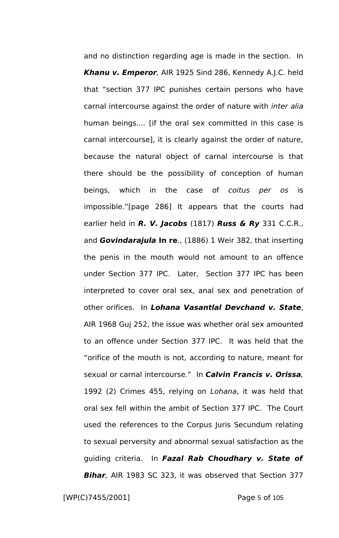and no distinction regarding age is made in the section. In **Khanu v. Emperor**, AIR 1925 Sind 286, Kennedy A.J.C. held that "section 377 IPC punishes certain persons who have carnal intercourse against the order of nature with inter alia human beings.... [if the oral sex committed in this case is carnal intercourse], it is clearly against the order of nature, because the natural object of carnal intercourse is that there should be the possibility of conception of human beings, which in the case of coitus per os is impossible."[page 286] It appears that the courts had earlier held in **R. V. Jacobs** (1817) **Russ & Ry** 331 C.C.R., and **Govindarajula In re**., (1886) 1 Weir 382, that inserting the penis in the mouth would not amount to an offence under Section 377 IPC. Later, Section 377 IPC has been interpreted to cover oral sex, anal sex and penetration of other orifices. In **Lohana Vasantlal Devchand v. State**, AIR 1968 Guj 252, the issue was whether oral sex amounted to an offence under Section 377 IPC. It was held that the "orifice of the mouth is not, according to nature, meant for sexual or carnal intercourse." In **Calvin Francis v. Orissa**, 1992 (2) Crimes 455, relying on Lohana, it was held that oral sex fell within the ambit of Section 377 IPC. The Court used the references to the Corpus Juris Secundum relating to sexual perversity and abnormal sexual satisfaction as the guiding criteria. In **Fazal Rab Choudhary v. State of Bihar**, AIR 1983 SC 323, it was observed that Section 377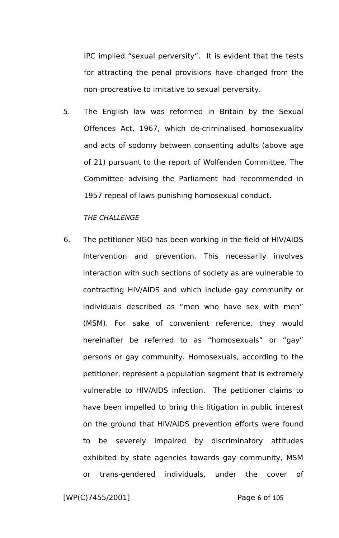IPC implied "sexual perversity". It is evident that the tests for attracting the penal provisions have changed from the non-procreative to imitative to sexual perversity.

5. The English law was reformed in Britain by the Sexual Offences Act, 1967, which de-criminalised homosexuality and acts of sodomy between consenting adults (above age of 21) pursuant to the report of Wolfenden Committee. The Committee advising the Parliament had recommended in 1957 repeal of laws punishing homosexual conduct.

#### THE CHALLENGE

6. The petitioner NGO has been working in the field of HIV/AIDS Intervention and prevention. This necessarily involves interaction with such sections of society as are vulnerable to contracting HIV/AIDS and which include gay community or individuals described as "men who have sex with men" (MSM). For sake of convenient reference, they would hereinafter be referred to as "homosexuals" or "gay" persons or gay community. Homosexuals, according to the petitioner, represent a population segment that is extremely vulnerable to HIV/AIDS infection. The petitioner claims to have been impelled to bring this litigation in public interest on the ground that HIV/AIDS prevention efforts were found to be severely impaired by discriminatory attitudes exhibited by state agencies towards gay community, MSM or trans-gendered individuals, under the cover of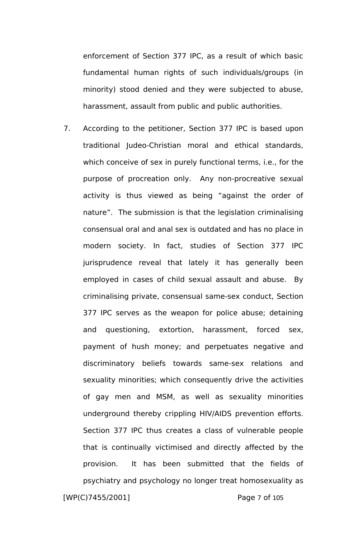enforcement of Section 377 IPC, as a result of which basic fundamental human rights of such individuals/groups (in minority) stood denied and they were subjected to abuse, harassment, assault from public and public authorities.

7. According to the petitioner, Section 377 IPC is based upon traditional Judeo-Christian moral and ethical standards, which conceive of sex in purely functional terms, i.e., for the purpose of procreation only. Any non-procreative sexual activity is thus viewed as being "against the order of nature". The submission is that the legislation criminalising consensual oral and anal sex is outdated and has no place in modern society. In fact, studies of Section 377 IPC jurisprudence reveal that lately it has generally been employed in cases of child sexual assault and abuse. By criminalising private, consensual same-sex conduct, Section 377 IPC serves as the weapon for police abuse; detaining and questioning, extortion, harassment, forced sex, payment of hush money; and perpetuates negative and discriminatory beliefs towards same-sex relations and sexuality minorities; which consequently drive the activities of gay men and MSM, as well as sexuality minorities underground thereby crippling HIV/AIDS prevention efforts. Section 377 IPC thus creates a class of vulnerable people that is continually victimised and directly affected by the provision. It has been submitted that the fields of psychiatry and psychology no longer treat homosexuality as

[WP(C)7455/2001] Page 7 of 105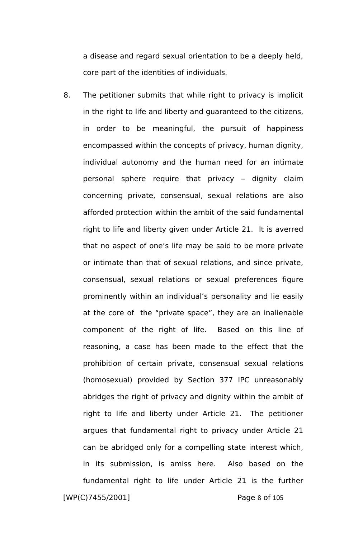a disease and regard sexual orientation to be a deeply held, core part of the identities of individuals.

8. The petitioner submits that while right to privacy is implicit in the right to life and liberty and guaranteed to the citizens, in order to be meaningful, the pursuit of happiness encompassed within the concepts of privacy, human dignity, individual autonomy and the human need for an intimate personal sphere require that privacy – dignity claim concerning private, consensual, sexual relations are also afforded protection within the ambit of the said fundamental right to life and liberty given under Article 21. It is averred that no aspect of one's life may be said to be more private or intimate than that of sexual relations, and since private, consensual, sexual relations or sexual preferences figure prominently within an individual's personality and lie easily at the core of the "private space", they are an inalienable component of the right of life. Based on this line of reasoning, a case has been made to the effect that the prohibition of certain private, consensual sexual relations (homosexual) provided by Section 377 IPC unreasonably abridges the right of privacy and dignity within the ambit of right to life and liberty under Article 21. The petitioner argues that fundamental right to privacy under Article 21 can be abridged only for a compelling state interest which, in its submission, is amiss here. Also based on the fundamental right to life under Article 21 is the further

[WP(C)7455/2001] Page 8 of 105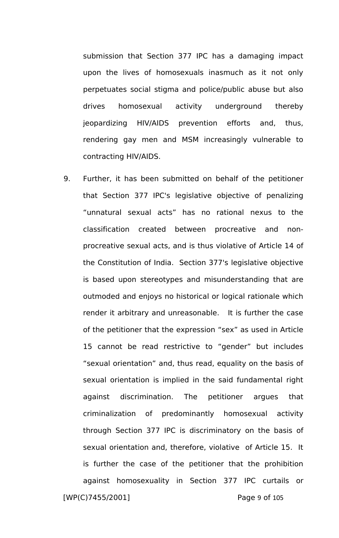submission that Section 377 IPC has a damaging impact upon the lives of homosexuals inasmuch as it not only perpetuates social stigma and police/public abuse but also drives homosexual activity underground thereby jeopardizing HIV/AIDS prevention efforts and, thus, rendering gay men and MSM increasingly vulnerable to contracting HIV/AIDS.

9. Further, it has been submitted on behalf of the petitioner that Section 377 IPC's legislative objective of penalizing "unnatural sexual acts" has no rational nexus to the classification created between procreative and nonprocreative sexual acts, and is thus violative of Article 14 of the Constitution of India. Section 377's legislative objective is based upon stereotypes and misunderstanding that are outmoded and enjoys no historical or logical rationale which render it arbitrary and unreasonable. It is further the case of the petitioner that the expression "sex" as used in Article 15 cannot be read restrictive to "gender" but includes "sexual orientation" and, thus read, equality on the basis of sexual orientation is implied in the said fundamental right against discrimination. The petitioner argues that criminalization of predominantly homosexual activity through Section 377 IPC is discriminatory on the basis of sexual orientation and, therefore, violative of Article 15. It is further the case of the petitioner that the prohibition against homosexuality in Section 377 IPC curtails or [WP(C)7455/2001] Page 9 of 105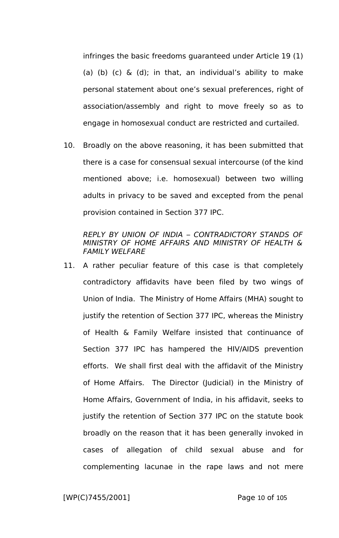infringes the basic freedoms guaranteed under Article 19 (1) (a) (b) (c)  $\&$  (d); in that, an individual's ability to make personal statement about one's sexual preferences, right of association/assembly and right to move freely so as to engage in homosexual conduct are restricted and curtailed.

10. Broadly on the above reasoning, it has been submitted that there is a case for consensual sexual intercourse (of the kind mentioned above; i.e. homosexual) between two willing adults in privacy to be saved and excepted from the penal provision contained in Section 377 IPC.

## REPLY BY UNION OF INDIA – CONTRADICTORY STANDS OF MINISTRY OF HOME AFFAIRS AND MINISTRY OF HEALTH & FAMILY WELFARE

11. A rather peculiar feature of this case is that completely contradictory affidavits have been filed by two wings of Union of India. The Ministry of Home Affairs (MHA) sought to justify the retention of Section 377 IPC, whereas the Ministry of Health & Family Welfare insisted that continuance of Section 377 IPC has hampered the HIV/AIDS prevention efforts. We shall first deal with the affidavit of the Ministry of Home Affairs. The Director (Judicial) in the Ministry of Home Affairs, Government of India, in his affidavit, seeks to justify the retention of Section 377 IPC on the statute book broadly on the reason that it has been generally invoked in cases of allegation of child sexual abuse and for complementing lacunae in the rape laws and not mere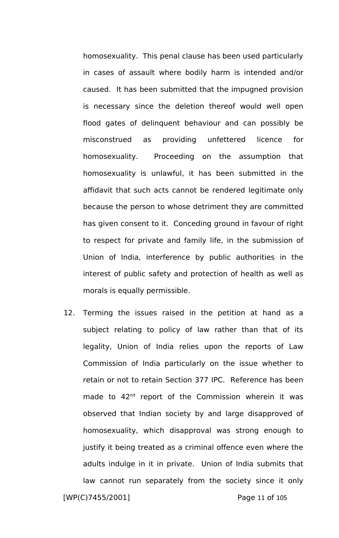homosexuality. This penal clause has been used particularly in cases of assault where bodily harm is intended and/or caused. It has been submitted that the impugned provision is necessary since the deletion thereof would well open flood gates of delinquent behaviour and can possibly be misconstrued as providing unfettered licence for homosexuality. Proceeding on the assumption that homosexuality is unlawful, it has been submitted in the affidavit that such acts cannot be rendered legitimate only because the person to whose detriment they are committed has given consent to it. Conceding ground in favour of right to respect for private and family life, in the submission of Union of India, interference by public authorities in the interest of public safety and protection of health as well as morals is equally permissible.

12. Terming the issues raised in the petition at hand as a subject relating to policy of law rather than that of its legality, Union of India relies upon the reports of Law Commission of India particularly on the issue whether to retain or not to retain Section 377 IPC. Reference has been made to 42<sup>nd</sup> report of the Commission wherein it was observed that Indian society by and large disapproved of homosexuality, which disapproval was strong enough to justify it being treated as a criminal offence even where the adults indulge in it in private. Union of India submits that law cannot run separately from the society since it only

[WP(C)7455/2001] Page 11 of 105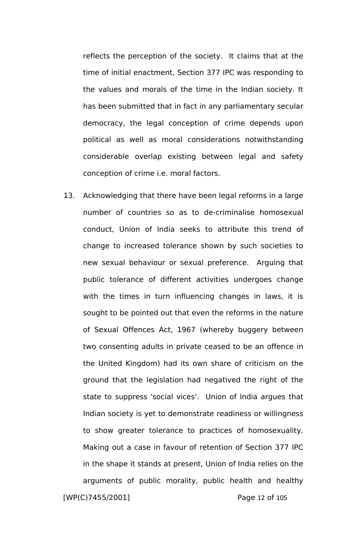reflects the perception of the society. It claims that at the time of initial enactment, Section 377 IPC was responding to the values and morals of the time in the Indian society. It has been submitted that in fact in any parliamentary secular democracy, the legal conception of crime depends upon political as well as moral considerations notwithstanding considerable overlap existing between legal and safety conception of crime i.e. moral factors.

13. Acknowledging that there have been legal reforms in a large number of countries so as to de-criminalise homosexual conduct, Union of India seeks to attribute this trend of change to increased tolerance shown by such societies to new sexual behaviour or sexual preference. Arguing that public tolerance of different activities undergoes change with the times in turn influencing changes in laws, it is sought to be pointed out that even the reforms in the nature of Sexual Offences Act, 1967 (whereby buggery between two consenting adults in private ceased to be an offence in the United Kingdom) had its own share of criticism on the ground that the legislation had negatived the right of the state to suppress 'social vices'. Union of India argues that Indian society is yet to demonstrate readiness or willingness to show greater tolerance to practices of homosexuality. Making out a case in favour of retention of Section 377 IPC in the shape it stands at present, Union of India relies on the arguments of public morality, public health and healthy

[WP(C)7455/2001] Page 12 of 105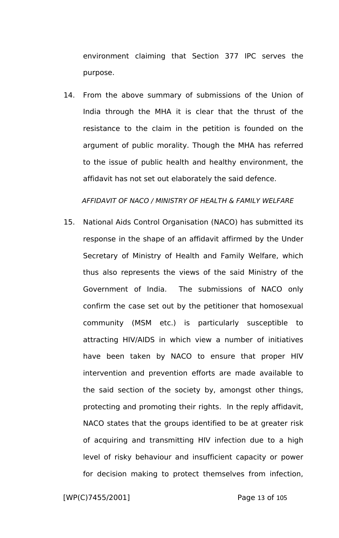environment claiming that Section 377 IPC serves the purpose.

14. From the above summary of submissions of the Union of India through the MHA it is clear that the thrust of the resistance to the claim in the petition is founded on the argument of public morality. Though the MHA has referred to the issue of public health and healthy environment, the affidavit has not set out elaborately the said defence.

#### AFFIDAVIT OF NACO / MINISTRY OF HEALTH & FAMILY WELFARE

15. National Aids Control Organisation (NACO) has submitted its response in the shape of an affidavit affirmed by the Under Secretary of Ministry of Health and Family Welfare, which thus also represents the views of the said Ministry of the Government of India. The submissions of NACO only confirm the case set out by the petitioner that homosexual community (MSM etc.) is particularly susceptible to attracting HIV/AIDS in which view a number of initiatives have been taken by NACO to ensure that proper HIV intervention and prevention efforts are made available to the said section of the society by, amongst other things, protecting and promoting their rights. In the reply affidavit, NACO states that the groups identified to be at greater risk of acquiring and transmitting HIV infection due to a high level of risky behaviour and insufficient capacity or power for decision making to protect themselves from infection,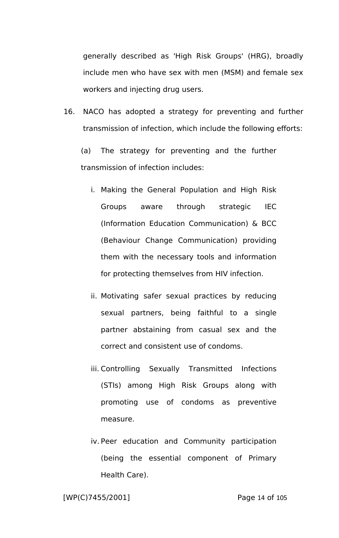generally described as 'High Risk Groups' (HRG), broadly include men who have sex with men (MSM) and female sex workers and injecting drug users.

16. NACO has adopted a strategy for preventing and further transmission of infection, which include the following efforts:

(a) The strategy for preventing and the further transmission of infection includes:

- i. Making the General Population and High Risk Groups aware through strategic IEC (Information Education Communication) & BCC (Behaviour Change Communication) providing them with the necessary tools and information for protecting themselves from HIV infection.
- ii. Motivating safer sexual practices by reducing sexual partners, being faithful to a single partner abstaining from casual sex and the correct and consistent use of condoms.
- iii. Controlling Sexually Transmitted Infections (STIs) among High Risk Groups along with promoting use of condoms as preventive measure.
- iv. Peer education and Community participation (being the essential component of Primary Health Care).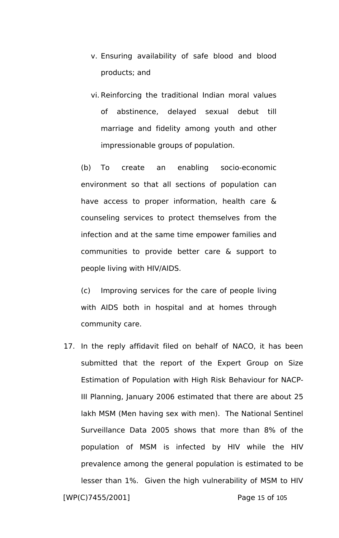- v. Ensuring availability of safe blood and blood products; and
- vi. Reinforcing the traditional Indian moral values of abstinence, delayed sexual debut till marriage and fidelity among youth and other impressionable groups of population.

(b) To create an enabling socio-economic environment so that all sections of population can have access to proper information, health care & counseling services to protect themselves from the infection and at the same time empower families and communities to provide better care & support to people living with HIV/AIDS.

(c) Improving services for the care of people living with AIDS both in hospital and at homes through community care.

17. In the reply affidavit filed on behalf of NACO, it has been submitted that the report of the Expert Group on Size Estimation of Population with High Risk Behaviour for NACP-III Planning, January 2006 estimated that there are about 25 lakh MSM (Men having sex with men). The National Sentinel Surveillance Data 2005 shows that more than 8% of the population of MSM is infected by HIV while the HIV prevalence among the general population is estimated to be lesser than 1%. Given the high vulnerability of MSM to HIV

[WP(C)7455/2001] Page 15 of 105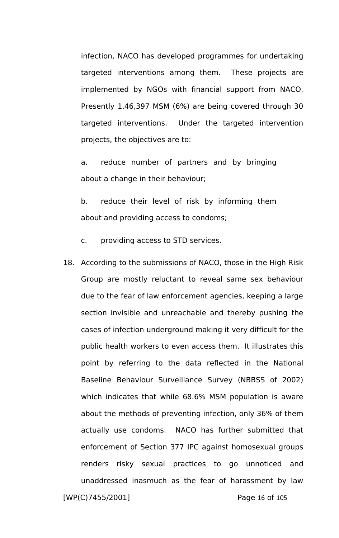infection, NACO has developed programmes for undertaking targeted interventions among them. These projects are implemented by NGOs with financial support from NACO. Presently 1,46,397 MSM (6%) are being covered through 30 targeted interventions. Under the targeted intervention projects, the objectives are to:

a. reduce number of partners and by bringing about a change in their behaviour;

b. reduce their level of risk by informing them about and providing access to condoms;

c. providing access to STD services.

18. According to the submissions of NACO, those in the High Risk Group are mostly reluctant to reveal same sex behaviour due to the fear of law enforcement agencies, keeping a large section invisible and unreachable and thereby pushing the cases of infection underground making it very difficult for the public health workers to even access them. It illustrates this point by referring to the data reflected in the National Baseline Behaviour Surveillance Survey (NBBSS of 2002) which indicates that while 68.6% MSM population is aware about the methods of preventing infection, only 36% of them actually use condoms. NACO has further submitted that enforcement of Section 377 IPC against homosexual groups renders risky sexual practices to go unnoticed and unaddressed inasmuch as the fear of harassment by law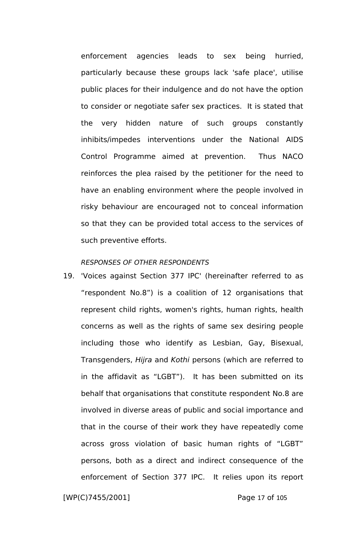enforcement agencies leads to sex being hurried, particularly because these groups lack 'safe place', utilise public places for their indulgence and do not have the option to consider or negotiate safer sex practices. It is stated that the very hidden nature of such groups constantly inhibits/impedes interventions under the National AIDS Control Programme aimed at prevention. Thus NACO reinforces the plea raised by the petitioner for the need to have an enabling environment where the people involved in risky behaviour are encouraged not to conceal information so that they can be provided total access to the services of such preventive efforts.

## RESPONSES OF OTHER RESPONDENTS

19. 'Voices against Section 377 IPC' (hereinafter referred to as "respondent No.8") is a coalition of 12 organisations that represent child rights, women's rights, human rights, health concerns as well as the rights of same sex desiring people including those who identify as Lesbian, Gay, Bisexual, Transgenders, Hijra and Kothi persons (which are referred to in the affidavit as "LGBT"). It has been submitted on its behalf that organisations that constitute respondent No.8 are involved in diverse areas of public and social importance and that in the course of their work they have repeatedly come across gross violation of basic human rights of "LGBT" persons, both as a direct and indirect consequence of the enforcement of Section 377 IPC. It relies upon its report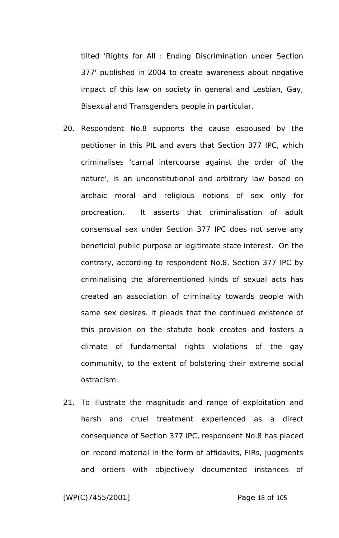tilted 'Rights for All : Ending Discrimination under Section 377' published in 2004 to create awareness about negative impact of this law on society in general and Lesbian, Gay, Bisexual and Transgenders people in particular.

- 20. Respondent No.8 supports the cause espoused by the petitioner in this PIL and avers that Section 377 IPC, which criminalises 'carnal intercourse against the order of the nature', is an unconstitutional and arbitrary law based on archaic moral and religious notions of sex only for procreation. It asserts that criminalisation of adult consensual sex under Section 377 IPC does not serve any beneficial public purpose or legitimate state interest. On the contrary, according to respondent No.8, Section 377 IPC by criminalising the aforementioned kinds of sexual acts has created an association of criminality towards people with same sex desires. It pleads that the continued existence of this provision on the statute book creates and fosters a climate of fundamental rights violations of the gay community, to the extent of bolstering their extreme social ostracism.
- 21. To illustrate the magnitude and range of exploitation and harsh and cruel treatment experienced as a direct consequence of Section 377 IPC, respondent No.8 has placed on record material in the form of affidavits, FIRs, judgments and orders with objectively documented instances of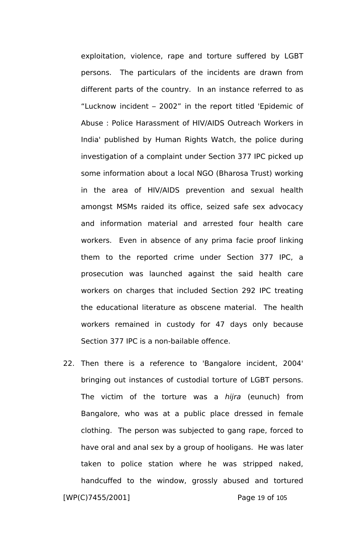exploitation, violence, rape and torture suffered by LGBT persons. The particulars of the incidents are drawn from different parts of the country. In an instance referred to as "Lucknow incident – 2002" in the report titled 'Epidemic of Abuse : Police Harassment of HIV/AIDS Outreach Workers in India' published by Human Rights Watch, the police during investigation of a complaint under Section 377 IPC picked up some information about a local NGO (Bharosa Trust) working in the area of HIV/AIDS prevention and sexual health amongst MSMs raided its office, seized safe sex advocacy and information material and arrested four health care workers. Even in absence of any prima facie proof linking them to the reported crime under Section 377 IPC, a prosecution was launched against the said health care workers on charges that included Section 292 IPC treating the educational literature as obscene material. The health workers remained in custody for 47 days only because Section 377 IPC is a non-bailable offence.

22. Then there is a reference to 'Bangalore incident, 2004' bringing out instances of custodial torture of LGBT persons. The victim of the torture was a hijra (eunuch) from Bangalore, who was at a public place dressed in female clothing. The person was subjected to gang rape, forced to have oral and anal sex by a group of hooligans. He was later taken to police station where he was stripped naked, handcuffed to the window, grossly abused and tortured

[WP(C)7455/2001] Page 19 of 105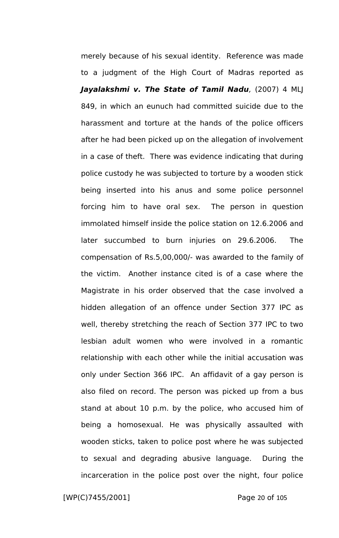merely because of his sexual identity. Reference was made to a judgment of the High Court of Madras reported as **Jayalakshmi v. The State of Tamil Nadu**, (2007) 4 MLJ 849, in which an eunuch had committed suicide due to the harassment and torture at the hands of the police officers after he had been picked up on the allegation of involvement in a case of theft. There was evidence indicating that during police custody he was subjected to torture by a wooden stick being inserted into his anus and some police personnel forcing him to have oral sex. The person in question immolated himself inside the police station on 12.6.2006 and later succumbed to burn injuries on 29.6.2006. The compensation of Rs.5,00,000/- was awarded to the family of the victim. Another instance cited is of a case where the Magistrate in his order observed that the case involved a hidden allegation of an offence under Section 377 IPC as well, thereby stretching the reach of Section 377 IPC to two lesbian adult women who were involved in a romantic relationship with each other while the initial accusation was only under Section 366 IPC. An affidavit of a gay person is also filed on record. The person was picked up from a bus stand at about 10 p.m. by the police, who accused him of being a homosexual. He was physically assaulted with wooden sticks, taken to police post where he was subjected to sexual and degrading abusive language. During the incarceration in the police post over the night, four police

[WP(C)7455/2001] Page 20 of 105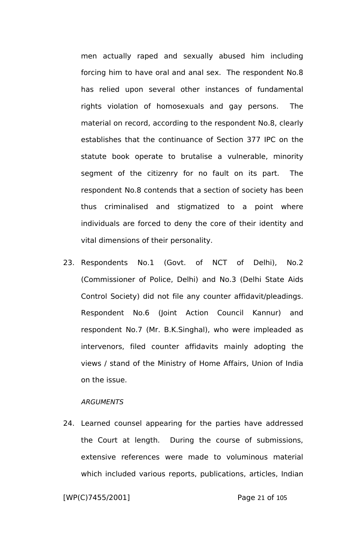men actually raped and sexually abused him including forcing him to have oral and anal sex. The respondent No.8 has relied upon several other instances of fundamental rights violation of homosexuals and gay persons. The material on record, according to the respondent No.8, clearly establishes that the continuance of Section 377 IPC on the statute book operate to brutalise a vulnerable, minority segment of the citizenry for no fault on its part. The respondent No.8 contends that a section of society has been thus criminalised and stigmatized to a point where individuals are forced to deny the core of their identity and vital dimensions of their personality.

23. Respondents No.1 (Govt. of NCT of Delhi), No.2 (Commissioner of Police, Delhi) and No.3 (Delhi State Aids Control Society) did not file any counter affidavit/pleadings. Respondent No.6 (Joint Action Council Kannur) and respondent No.7 (Mr. B.K.Singhal), who were impleaded as intervenors, filed counter affidavits mainly adopting the views / stand of the Ministry of Home Affairs, Union of India on the issue.

### **ARGUMENTS**

24. Learned counsel appearing for the parties have addressed the Court at length. During the course of submissions, extensive references were made to voluminous material which included various reports, publications, articles, Indian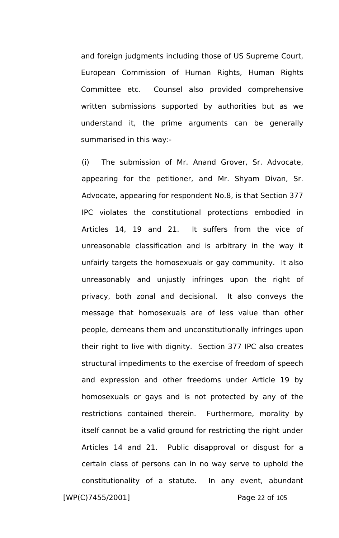and foreign judgments including those of US Supreme Court, European Commission of Human Rights, Human Rights Committee etc. Counsel also provided comprehensive written submissions supported by authorities but as we understand it, the prime arguments can be generally summarised in this way:-

(i) The submission of Mr. Anand Grover, Sr. Advocate, appearing for the petitioner, and Mr. Shyam Divan, Sr. Advocate, appearing for respondent No.8, is that Section 377 IPC violates the constitutional protections embodied in Articles 14, 19 and 21. It suffers from the vice of unreasonable classification and is arbitrary in the way it unfairly targets the homosexuals or gay community. It also unreasonably and unjustly infringes upon the right of privacy, both zonal and decisional. It also conveys the message that homosexuals are of less value than other people, demeans them and unconstitutionally infringes upon their right to live with dignity. Section 377 IPC also creates structural impediments to the exercise of freedom of speech and expression and other freedoms under Article 19 by homosexuals or gays and is not protected by any of the restrictions contained therein. Furthermore, morality by itself cannot be a valid ground for restricting the right under Articles 14 and 21. Public disapproval or disgust for a certain class of persons can in no way serve to uphold the constitutionality of a statute. In any event, abundant

[WP(C)7455/2001] Page 22 of 105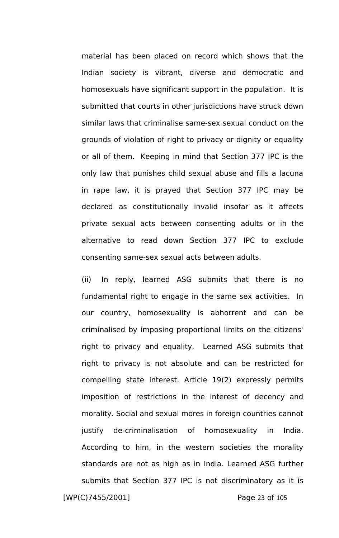material has been placed on record which shows that the Indian society is vibrant, diverse and democratic and homosexuals have significant support in the population. It is submitted that courts in other jurisdictions have struck down similar laws that criminalise same-sex sexual conduct on the grounds of violation of right to privacy or dignity or equality or all of them. Keeping in mind that Section 377 IPC is the only law that punishes child sexual abuse and fills a lacuna in rape law, it is prayed that Section 377 IPC may be declared as constitutionally invalid insofar as it affects private sexual acts between consenting adults or in the alternative to read down Section 377 IPC to exclude consenting same-sex sexual acts between adults.

(ii) In reply, learned ASG submits that there is no fundamental right to engage in the same sex activities. In our country, homosexuality is abhorrent and can be criminalised by imposing proportional limits on the citizens' right to privacy and equality. Learned ASG submits that right to privacy is not absolute and can be restricted for compelling state interest. Article 19(2) expressly permits imposition of restrictions in the interest of decency and morality. Social and sexual mores in foreign countries cannot justify de-criminalisation of homosexuality in India. According to him, in the western societies the morality standards are not as high as in India. Learned ASG further submits that Section 377 IPC is not discriminatory as it is

[WP(C)7455/2001] Page 23 of 105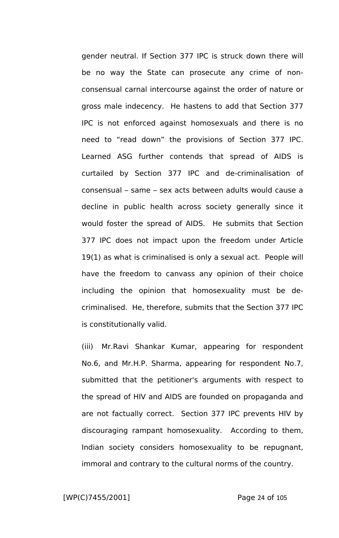gender neutral. If Section 377 IPC is struck down there will be no way the State can prosecute any crime of nonconsensual carnal intercourse against the order of nature or gross male indecency. He hastens to add that Section 377 IPC is not enforced against homosexuals and there is no need to "read down" the provisions of Section 377 IPC. Learned ASG further contends that spread of AIDS is curtailed by Section 377 IPC and de-criminalisation of consensual – same – sex acts between adults would cause a decline in public health across society generally since it would foster the spread of AIDS. He submits that Section 377 IPC does not impact upon the freedom under Article 19(1) as what is criminalised is only a sexual act. People will have the freedom to canvass any opinion of their choice including the opinion that homosexuality must be decriminalised. He, therefore, submits that the Section 377 IPC is constitutionally valid.

(iii) Mr.Ravi Shankar Kumar, appearing for respondent No.6, and Mr.H.P. Sharma, appearing for respondent No.7, submitted that the petitioner's arguments with respect to the spread of HIV and AIDS are founded on propaganda and are not factually correct. Section 377 IPC prevents HIV by discouraging rampant homosexuality. According to them, Indian society considers homosexuality to be repugnant, immoral and contrary to the cultural norms of the country.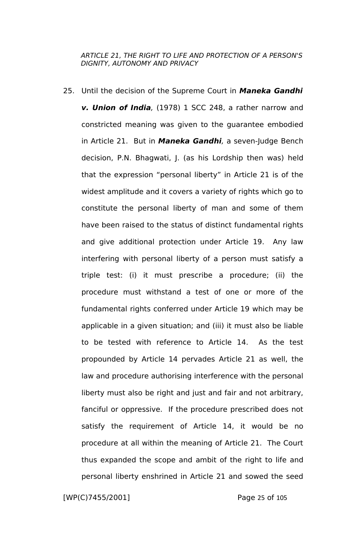ARTICLE 21, THE RIGHT TO LIFE AND PROTECTION OF A PERSON'S DIGNITY, AUTONOMY AND PRIVACY

25. Until the decision of the Supreme Court in **Maneka Gandhi v. Union of India**, (1978) 1 SCC 248, a rather narrow and constricted meaning was given to the guarantee embodied in Article 21. But in **Maneka Gandhi**, a seven-Judge Bench decision, P.N. Bhagwati, J. (as his Lordship then was) held that the expression "personal liberty" in Article 21 is of the widest amplitude and it covers a variety of rights which go to constitute the personal liberty of man and some of them have been raised to the status of distinct fundamental rights and give additional protection under Article 19. Any law interfering with personal liberty of a person must satisfy a triple test: (i) it must prescribe a procedure; (ii) the procedure must withstand a test of one or more of the fundamental rights conferred under Article 19 which may be applicable in a given situation; and (iii) it must also be liable to be tested with reference to Article 14. As the test propounded by Article 14 pervades Article 21 as well, the law and procedure authorising interference with the personal liberty must also be right and just and fair and not arbitrary, fanciful or oppressive. If the procedure prescribed does not satisfy the requirement of Article 14, it would be no procedure at all within the meaning of Article 21. The Court thus expanded the scope and ambit of the right to life and personal liberty enshrined in Article 21 and sowed the seed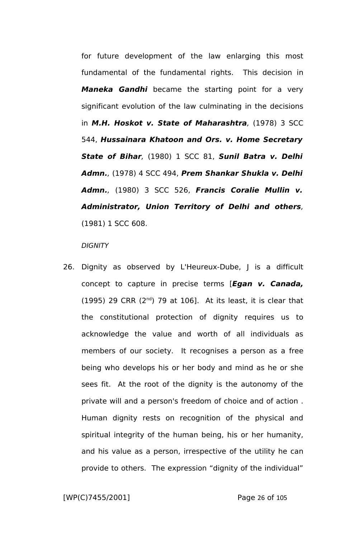for future development of the law enlarging this most fundamental of the fundamental rights. This decision in **Maneka Gandhi** became the starting point for a very significant evolution of the law culminating in the decisions in **M.H. Hoskot v. State of Maharashtra**, (1978) 3 SCC 544, **Hussainara Khatoon and Ors. v. Home Secretary State of Bihar**, (1980) 1 SCC 81, **Sunil Batra v. Delhi Admn.**, (1978) 4 SCC 494, **Prem Shankar Shukla v. Delhi Admn.**, (1980) 3 SCC 526, **Francis Coralie Mullin v. Administrator, Union Territory of Delhi and others**, (1981) 1 SCC 608.

**DIGNITY** 

26. Dignity as observed by L'Heureux-Dube, J is a difficult concept to capture in precise terms [**Egan v. Canada,**  $(1995)$  29 CRR  $(2^{nd})$  79 at 106]. At its least, it is clear that the constitutional protection of dignity requires us to acknowledge the value and worth of all individuals as members of our society. It recognises a person as a free being who develops his or her body and mind as he or she sees fit. At the root of the dignity is the autonomy of the private will and a person's freedom of choice and of action . Human dignity rests on recognition of the physical and spiritual integrity of the human being, his or her humanity, and his value as a person, irrespective of the utility he can provide to others. The expression "dignity of the individual"

[WP(C)7455/2001] Page 26 of 105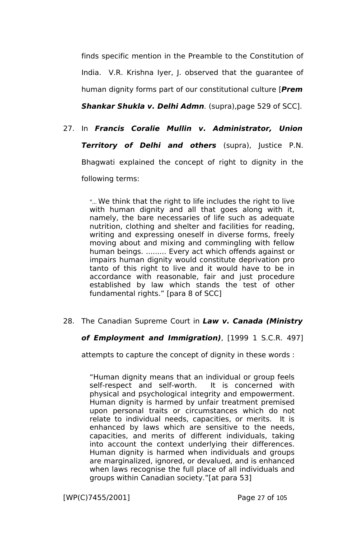finds specific mention in the Preamble to the Constitution of India. V.R. Krishna Iyer, J. observed that the guarantee of human dignity forms part of our constitutional culture [**Prem Shankar Shukla v. Delhi Admn**. (supra),page 529 of SCC].

27. In **Francis Coralie Mullin v. Administrator, Union Territory of Delhi and others** (supra), Justice P.N. Bhagwati explained the concept of right to dignity in the following terms:

> "... We think that the right to life includes the right to live with human dignity and all that goes along with it, namely, the bare necessaries of life such as adequate nutrition, clothing and shelter and facilities for reading, writing and expressing oneself in diverse forms, freely moving about and mixing and commingling with fellow human beings. ......... Every act which offends against or impairs human dignity would constitute deprivation pro tanto of this right to live and it would have to be in accordance with reasonable, fair and just procedure established by law which stands the test of other fundamental rights." [para 8 of SCC]

28. The Canadian Supreme Court in **Law v. Canada (Ministry**

**of Employment and Immigration)**, [1999 1 S.C.R. 497]

attempts to capture the concept of dignity in these words :

"Human dignity means that an individual or group feels self-respect and self-worth. It is concerned with physical and psychological integrity and empowerment. Human dignity is harmed by unfair treatment premised upon personal traits or circumstances which do not relate to individual needs, capacities, or merits. It is enhanced by laws which are sensitive to the needs, capacities, and merits of different individuals, taking into account the context underlying their differences. Human dignity is harmed when individuals and groups are marginalized, ignored, or devalued, and is enhanced when laws recognise the full place of all individuals and groups within Canadian society."[at para 53]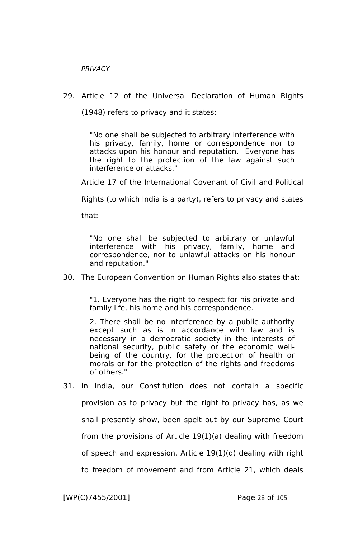PRIVACY

29. Article 12 of the Universal Declaration of Human Rights

(1948) refers to privacy and it states:

"No one shall be subjected to arbitrary interference with his privacy, family, home or correspondence nor to attacks upon his honour and reputation. Everyone has the right to the protection of the law against such interference or attacks."

Article 17 of the International Covenant of Civil and Political

Rights (to which India is a party), refers to privacy and states

that:

"No one shall be subjected to arbitrary or unlawful interference with his privacy, family, home and correspondence, nor to unlawful attacks on his honour and reputation."

30. The European Convention on Human Rights also states that:

"1. Everyone has the right to respect for his private and family life, his home and his correspondence.

2. There shall be no interference by a public authority except such as is in accordance with law and is necessary in a democratic society in the interests of national security, public safety or the economic wellbeing of the country, for the protection of health or morals or for the protection of the rights and freedoms of others."

31. In India, our Constitution does not contain a specific provision as to privacy but the right to privacy has, as we shall presently show, been spelt out by our Supreme Court from the provisions of Article 19(1)(a) dealing with freedom of speech and expression, Article 19(1)(d) dealing with right to freedom of movement and from Article 21, which deals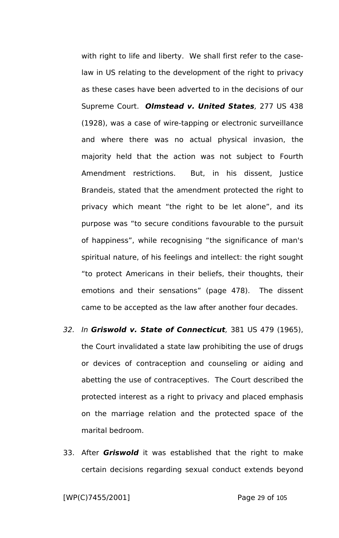with right to life and liberty. We shall first refer to the caselaw in US relating to the development of the right to privacy as these cases have been adverted to in the decisions of our Supreme Court. **Olmstead v. United States**, 277 US 438 (1928), was a case of wire-tapping or electronic surveillance and where there was no actual physical invasion, the majority held that the action was not subject to Fourth Amendment restrictions. But, in his dissent, Justice Brandeis, stated that the amendment protected the right to privacy which meant "the right to be let alone", and its purpose was "to secure conditions favourable to the pursuit of happiness", while recognising "the significance of man's spiritual nature, of his feelings and intellect: the right sought "to protect Americans in their beliefs, their thoughts, their emotions and their sensations" (page 478). The dissent came to be accepted as the law after another four decades.

- 32. In **Griswold v. State of Connecticut**, 381 US 479 (1965), the Court invalidated a state law prohibiting the use of drugs or devices of contraception and counseling or aiding and abetting the use of contraceptives. The Court described the protected interest as a right to privacy and placed emphasis on the marriage relation and the protected space of the marital bedroom.
- 33. After **Griswold** it was established that the right to make certain decisions regarding sexual conduct extends beyond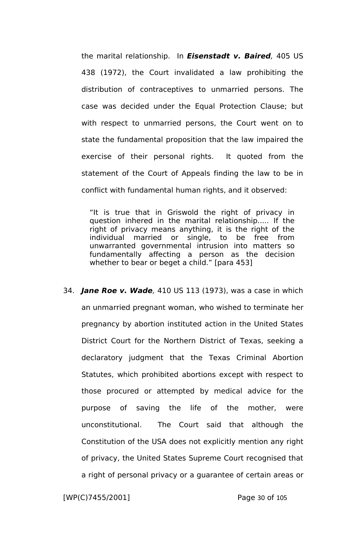the marital relationship. In **Eisenstadt v. Baired**, 405 US 438 (1972), the Court invalidated a law prohibiting the distribution of contraceptives to unmarried persons. The case was decided under the Equal Protection Clause; but with respect to unmarried persons, the Court went on to state the fundamental proposition that the law impaired the exercise of their personal rights. It quoted from the statement of the Court of Appeals finding the law to be in conflict with fundamental human rights, and it observed:

"It is true that in Griswold the right of privacy in question inhered in the marital relationship..... If the right of privacy means anything, it is the right of the individual married or single, to be free from unwarranted governmental intrusion into matters so fundamentally affecting a person as the decision whether to bear or beget a child." [para 453]

34. **Jane Roe v. Wade**, 410 US 113 (1973), was a case in which an unmarried pregnant woman, who wished to terminate her pregnancy by abortion instituted action in the United States District Court for the Northern District of Texas, seeking a declaratory judgment that the Texas Criminal Abortion Statutes, which prohibited abortions except with respect to those procured or attempted by medical advice for the purpose of saving the life of the mother, were unconstitutional. The Court said that although the Constitution of the USA does not explicitly mention any right of privacy, the United States Supreme Court recognised that a right of personal privacy or a guarantee of certain areas or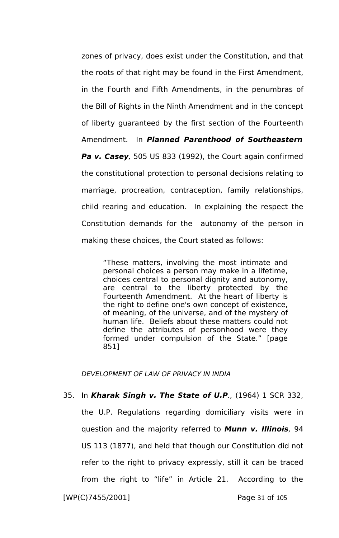zones of privacy, does exist under the Constitution, and that the roots of that right may be found in the First Amendment, in the Fourth and Fifth Amendments, in the penumbras of the Bill of Rights in the Ninth Amendment and in the concept of liberty guaranteed by the first section of the Fourteenth Amendment. In **Planned Parenthood of Southeastern Pa v. Casey**, 505 US 833 (1992), the Court again confirmed the constitutional protection to personal decisions relating to marriage, procreation, contraception, family relationships, child rearing and education. In explaining the respect the Constitution demands for the autonomy of the person in making these choices, the Court stated as follows:

"These matters, involving the most intimate and personal choices a person may make in a lifetime, choices central to personal dignity and autonomy, are central to the liberty protected by the Fourteenth Amendment. At the heart of liberty is the right to define one's own concept of existence, of meaning, of the universe, and of the mystery of human life. Beliefs about these matters could not define the attributes of personhood were they formed under compulsion of the State." [page 851]

DEVELOPMENT OF LAW OF PRIVACY IN INDIA

35. In **Kharak Singh v. The State of U.P**., (1964) 1 SCR 332, the U.P. Regulations regarding domiciliary visits were in question and the majority referred to **Munn v. Illinois**, 94 US 113 (1877), and held that though our Constitution did not refer to the right to privacy expressly, still it can be traced from the right to "life" in Article 21. According to the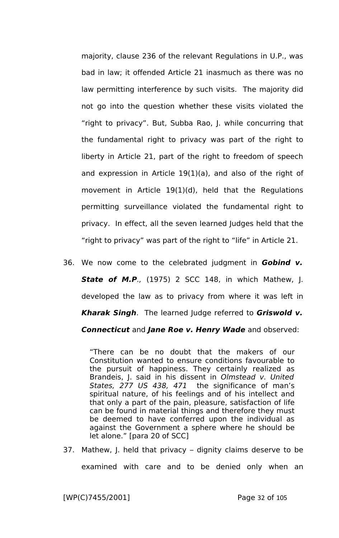majority, clause 236 of the relevant Regulations in U.P., was bad in law; it offended Article 21 inasmuch as there was no law permitting interference by such visits. The majority did not go into the question whether these visits violated the "right to privacy". But, Subba Rao, J. while concurring that the fundamental right to privacy was part of the right to liberty in Article 21, part of the right to freedom of speech and expression in Article 19(1)(a), and also of the right of movement in Article 19(1)(d), held that the Regulations permitting surveillance violated the fundamental right to privacy. In effect, all the seven learned Judges held that the "right to privacy" was part of the right to "life" in Article 21.

36. We now come to the celebrated judgment in **Gobind v. State of M.P**., (1975) 2 SCC 148, in which Mathew, J. developed the law as to privacy from where it was left in **Kharak Singh**. The learned Judge referred to **Griswold v. Connecticut** and **Jane Roe v. Henry Wade** and observed:

> "There can be no doubt that the makers of our Constitution wanted to ensure conditions favourable to the pursuit of happiness. They certainly realized as Brandeis, J. said in his dissent in Olmstead v. United States, 277 US 438, 471 the significance of man's spiritual nature, of his feelings and of his intellect and that only a part of the pain, pleasure, satisfaction of life can be found in material things and therefore they must be deemed to have conferred upon the individual as against the Government a sphere where he should be let alone." [para 20 of SCC]

37. Mathew, J. held that privacy – dignity claims deserve to be examined with care and to be denied only when an

[WP(C)7455/2001] Page 32 of 105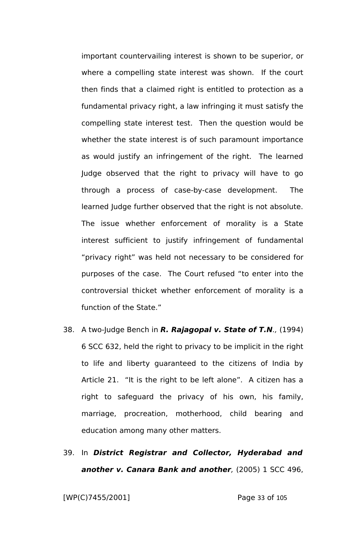important countervailing interest is shown to be superior, or where a compelling state interest was shown. If the court then finds that a claimed right is entitled to protection as a fundamental privacy right, a law infringing it must satisfy the compelling state interest test. Then the question would be whether the state interest is of such paramount importance as would justify an infringement of the right. The learned Judge observed that the right to privacy will have to go through a process of case-by-case development. The learned Judge further observed that the right is not absolute. The issue whether enforcement of morality is a State interest sufficient to justify infringement of fundamental "privacy right" was held not necessary to be considered for purposes of the case. The Court refused "to enter into the controversial thicket whether enforcement of morality is a function of the State."

- 38. A two-Judge Bench in **R. Rajagopal v. State of T.N**., (1994) 6 SCC 632, held the right to privacy to be implicit in the right to life and liberty guaranteed to the citizens of India by Article 21. "It is the right to be left alone". A citizen has a right to safeguard the privacy of his own, his family, marriage, procreation, motherhood, child bearing and education among many other matters.
- 39. In **District Registrar and Collector, Hyderabad and another v. Canara Bank and another**, (2005) 1 SCC 496,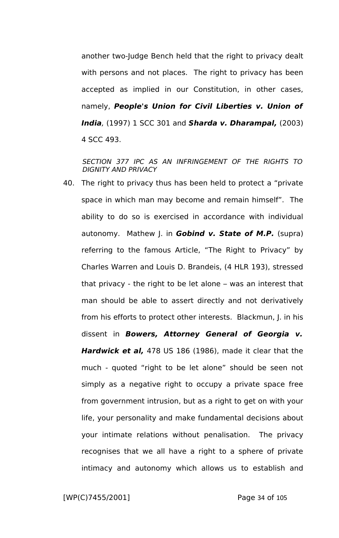another two-Judge Bench held that the right to privacy dealt with persons and not places. The right to privacy has been accepted as implied in our Constitution, in other cases, namely, **People's Union for Civil Liberties v. Union of India**, (1997) 1 SCC 301 and **Sharda v. Dharampal,** (2003) 4 SCC 493.

SECTION 377 IPC AS AN INFRINGEMENT OF THE RIGHTS TO DIGNITY AND PRIVACY

40. The right to privacy thus has been held to protect a "private space in which man may become and remain himself". The ability to do so is exercised in accordance with individual autonomy. Mathew J. in **Gobind v. State of M.P.** (supra) referring to the famous Article, "The Right to Privacy" by Charles Warren and Louis D. Brandeis, (4 HLR 193), stressed that privacy - the right to be let alone – was an interest that man should be able to assert directly and not derivatively from his efforts to protect other interests. Blackmun, J. in his dissent in **Bowers, Attorney General of Georgia v. Hardwick et al,** 478 US 186 (1986), made it clear that the much - quoted "right to be let alone" should be seen not simply as a negative right to occupy a private space free from government intrusion, but as a right to get on with your life, your personality and make fundamental decisions about your intimate relations without penalisation. The privacy recognises that we all have a right to a sphere of private intimacy and autonomy which allows us to establish and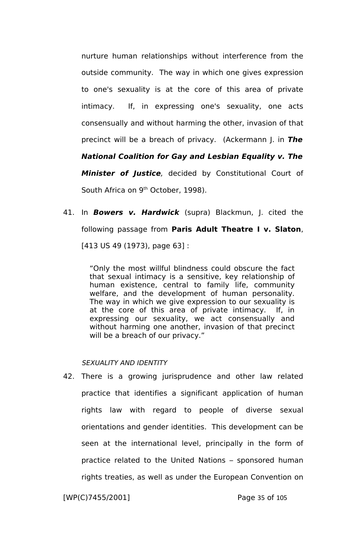nurture human relationships without interference from the outside community. The way in which one gives expression to one's sexuality is at the core of this area of private intimacy. If, in expressing one's sexuality, one acts consensually and without harming the other, invasion of that precinct will be a breach of privacy. (Ackermann J. in **The National Coalition for Gay and Lesbian Equality v. The Minister of Justice**, decided by Constitutional Court of South Africa on 9<sup>th</sup> October, 1998).

41. In **Bowers v. Hardwick** (supra) Blackmun, J. cited the following passage from **Paris Adult Theatre I v. Slaton**, [413 US 49 (1973), page 63] :

> "Only the most willful blindness could obscure the fact that sexual intimacy is a sensitive, key relationship of human existence, central to family life, community welfare, and the development of human personality. The way in which we give expression to our sexuality is at the core of this area of private intimacy. If, in expressing our sexuality, we act consensually and without harming one another, invasion of that precinct will be a breach of our privacy."

#### SEXUALITY AND IDENTITY

42. There is a growing jurisprudence and other law related practice that identifies a significant application of human rights law with regard to people of diverse sexual orientations and gender identities. This development can be seen at the international level, principally in the form of practice related to the United Nations – sponsored human rights treaties, as well as under the European Convention on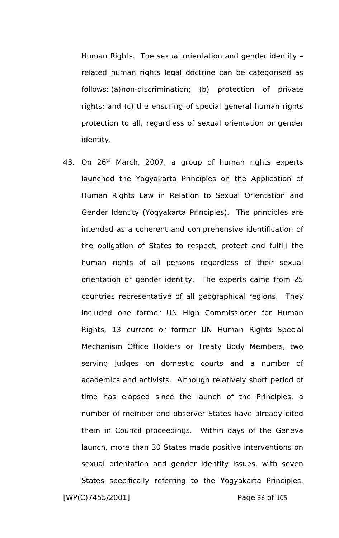Human Rights. The sexual orientation and gender identity – related human rights legal doctrine can be categorised as follows: (a)non-discrimination; (b) protection of private rights; and (c) the ensuring of special general human rights protection to all, regardless of sexual orientation or gender identity.

43. On 26<sup>th</sup> March, 2007, a group of human rights experts launched the Yogyakarta Principles on the Application of Human Rights Law in Relation to Sexual Orientation and Gender Identity (Yogyakarta Principles). The principles are intended as a coherent and comprehensive identification of the obligation of States to respect, protect and fulfill the human rights of all persons regardless of their sexual orientation or gender identity. The experts came from 25 countries representative of all geographical regions. They included one former UN High Commissioner for Human Rights, 13 current or former UN Human Rights Special Mechanism Office Holders or Treaty Body Members, two serving Judges on domestic courts and a number of academics and activists. Although relatively short period of time has elapsed since the launch of the Principles, a number of member and observer States have already cited them in Council proceedings. Within days of the Geneva launch, more than 30 States made positive interventions on sexual orientation and gender identity issues, with seven States specifically referring to the Yogyakarta Principles.

[WP(C)7455/2001] Page 36 of 105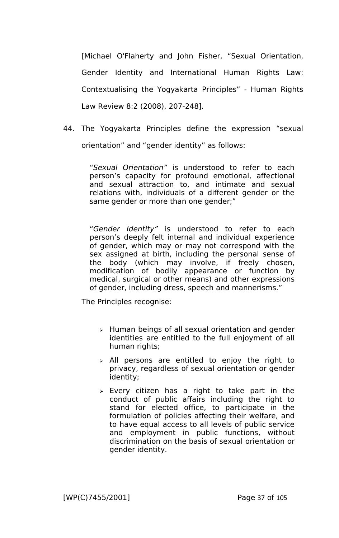[Michael O'Flaherty and John Fisher, "Sexual Orientation, Gender Identity and International Human Rights Law: Contextualising the Yogyakarta Principles" - Human Rights Law Review 8:2 (2008), 207-248].

44. The Yogyakarta Principles define the expression "sexual orientation" and "gender identity" as follows:

> "Sexual Orientation" is understood to refer to each person's capacity for profound emotional, affectional and sexual attraction to, and intimate and sexual relations with, individuals of a different gender or the same gender or more than one gender;"

> "Gender Identity" is understood to refer to each person's deeply felt internal and individual experience of gender, which may or may not correspond with the sex assigned at birth, including the personal sense of the body (which may involve, if freely chosen, modification of bodily appearance or function by medical, surgical or other means) and other expressions of gender, including dress, speech and mannerisms."

The Principles recognise:

- $\triangleright$  Human beings of all sexual orientation and gender identities are entitled to the full enjoyment of all human rights;
- $>$  All persons are entitled to enjoy the right to privacy, regardless of sexual orientation or gender identity;
- $\triangleright$  Every citizen has a right to take part in the conduct of public affairs including the right to stand for elected office, to participate in the formulation of policies affecting their welfare, and to have equal access to all levels of public service and employment in public functions, without discrimination on the basis of sexual orientation or gender identity.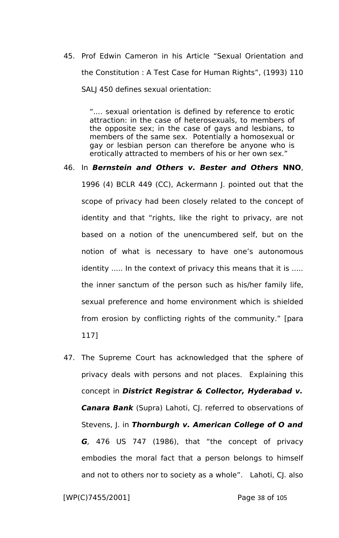45. Prof Edwin Cameron in his Article "Sexual Orientation and the Constitution : A Test Case for Human Rights", (1993) 110 SALJ 450 defines sexual orientation:

> ".... sexual orientation is defined by reference to erotic attraction: in the case of heterosexuals, to members of the opposite sex; in the case of gays and lesbians, to members of the same sex. Potentially a homosexual or gay or lesbian person can therefore be anyone who is erotically attracted to members of his or her own sex."

## 46. In **Bernstein and Others v. Bester and Others NNO**,

1996 (4) BCLR 449 (CC), Ackermann J. pointed out that the scope of privacy had been closely related to the concept of identity and that "rights, like the right to privacy, are not based on a notion of the unencumbered self, but on the notion of what is necessary to have one's autonomous identity ..... In the context of privacy this means that it is ..... the inner sanctum of the person such as his/her family life, sexual preference and home environment which is shielded from erosion by conflicting rights of the community." [para 117]

47. The Supreme Court has acknowledged that the sphere of privacy deals with persons and not places. Explaining this concept in **District Registrar & Collector, Hyderabad v. Canara Bank** (Supra) Lahoti, CJ. referred to observations of Stevens, J. in **Thornburgh v. American College of O and G**, 476 US 747 (1986), that "the concept of privacy embodies the moral fact that a person belongs to himself and not to others nor to society as a whole". Lahoti, CJ. also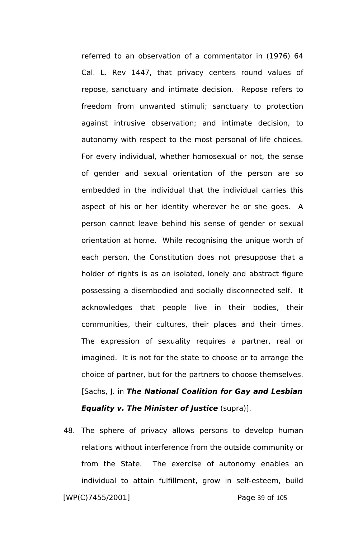referred to an observation of a commentator in (1976) 64 Cal. L. Rev 1447, that privacy centers round values of repose, sanctuary and intimate decision. Repose refers to freedom from unwanted stimuli; sanctuary to protection against intrusive observation; and intimate decision, to autonomy with respect to the most personal of life choices. For every individual, whether homosexual or not, the sense of gender and sexual orientation of the person are so embedded in the individual that the individual carries this aspect of his or her identity wherever he or she goes. A person cannot leave behind his sense of gender or sexual orientation at home. While recognising the unique worth of each person, the Constitution does not presuppose that a holder of rights is as an isolated, lonely and abstract figure possessing a disembodied and socially disconnected self. It acknowledges that people live in their bodies, their communities, their cultures, their places and their times. The expression of sexuality requires a partner, real or imagined. It is not for the state to choose or to arrange the choice of partner, but for the partners to choose themselves. [Sachs, J. in **The National Coalition for Gay and Lesbian Equality v. The Minister of Justice** (supra)].

48. The sphere of privacy allows persons to develop human relations without interference from the outside community or from the State. The exercise of autonomy enables an individual to attain fulfillment, grow in self-esteem, build [WP(C)7455/2001] Page 39 of 105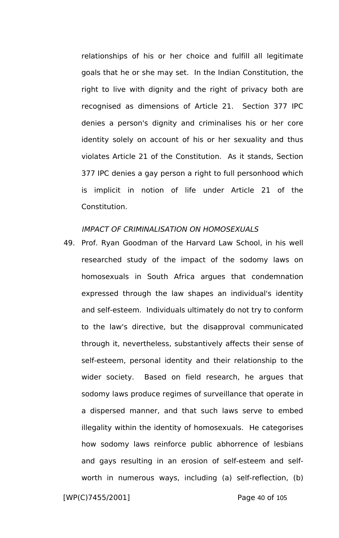relationships of his or her choice and fulfill all legitimate goals that he or she may set. In the Indian Constitution, the right to live with dignity and the right of privacy both are recognised as dimensions of Article 21. Section 377 IPC denies a person's dignity and criminalises his or her core identity solely on account of his or her sexuality and thus violates Article 21 of the Constitution. As it stands, Section 377 IPC denies a gay person a right to full personhood which is implicit in notion of life under Article 21 of the Constitution.

#### IMPACT OF CRIMINALISATION ON HOMOSEXUALS

49. Prof. Ryan Goodman of the Harvard Law School, in his well researched study of the impact of the sodomy laws on homosexuals in South Africa argues that condemnation expressed through the law shapes an individual's identity and self-esteem. Individuals ultimately do not try to conform to the law's directive, but the disapproval communicated through it, nevertheless, substantively affects their sense of self-esteem, personal identity and their relationship to the wider society. Based on field research, he argues that sodomy laws produce regimes of surveillance that operate in a dispersed manner, and that such laws serve to embed illegality within the identity of homosexuals. He categorises how sodomy laws reinforce public abhorrence of lesbians and gays resulting in an erosion of self-esteem and selfworth in numerous ways, including (a) self-reflection, (b)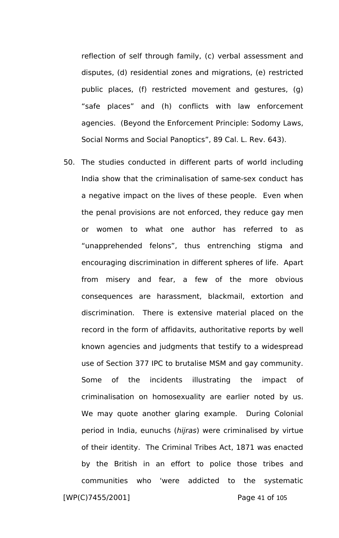reflection of self through family, (c) verbal assessment and disputes, (d) residential zones and migrations, (e) restricted public places, (f) restricted movement and gestures, (g) "safe places" and (h) conflicts with law enforcement agencies. (Beyond the Enforcement Principle: Sodomy Laws, Social Norms and Social Panoptics", 89 Cal. L. Rev. 643).

50. The studies conducted in different parts of world including India show that the criminalisation of same-sex conduct has a negative impact on the lives of these people. Even when the penal provisions are not enforced, they reduce gay men or women to what one author has referred to as "unapprehended felons", thus entrenching stigma and encouraging discrimination in different spheres of life. Apart from misery and fear, a few of the more obvious consequences are harassment, blackmail, extortion and discrimination. There is extensive material placed on the record in the form of affidavits, authoritative reports by well known agencies and judgments that testify to a widespread use of Section 377 IPC to brutalise MSM and gay community. Some of the incidents illustrating the impact of criminalisation on homosexuality are earlier noted by us. We may quote another glaring example. During Colonial period in India, eunuchs (hijras) were criminalised by virtue of their identity. The Criminal Tribes Act, 1871 was enacted by the British in an effort to police those tribes and communities who 'were addicted to the systematic [WP(C)7455/2001] Page 41 of 105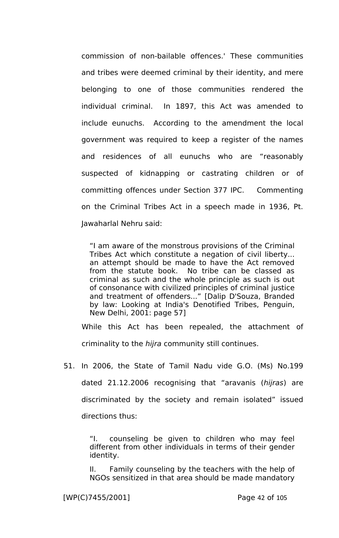commission of non-bailable offences.' These communities and tribes were deemed criminal by their identity, and mere belonging to one of those communities rendered the individual criminal. In 1897, this Act was amended to include eunuchs. According to the amendment the local government was required to keep a register of the names and residences of all eunuchs who are "reasonably suspected of kidnapping or castrating children or of committing offences under Section 377 IPC. Commenting on the Criminal Tribes Act in a speech made in 1936, Pt. Jawaharlal Nehru said:

"I am aware of the monstrous provisions of the Criminal Tribes Act which constitute a negation of civil liberty... an attempt should be made to have the Act removed from the statute book. No tribe can be classed as criminal as such and the whole principle as such is out of consonance with civilized principles of criminal justice and treatment of offenders..." [Dalip D'Souza, Branded by law: Looking at India's Denotified Tribes, Penguin, New Delhi, 2001: page 57]

While this Act has been repealed, the attachment of criminality to the *hijra* community still continues.

51. In 2006, the State of Tamil Nadu vide G.O. (Ms) No.199 dated 21.12.2006 recognising that "aravanis (hijras) are discriminated by the society and remain isolated" issued directions thus:

> "I. counseling be given to children who may feel different from other individuals in terms of their gender identity.

> II. Family counseling by the teachers with the help of NGOs sensitized in that area should be made mandatory

[WP(C)7455/2001] Page 42 of 105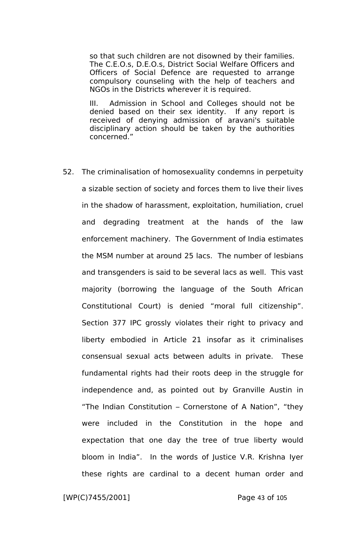so that such children are not disowned by their families. The C.E.O.s, D.E.O.s, District Social Welfare Officers and Officers of Social Defence are requested to arrange compulsory counseling with the help of teachers and NGOs in the Districts wherever it is required.

III. Admission in School and Colleges should not be denied based on their sex identity. If any report is received of denying admission of aravani's suitable disciplinary action should be taken by the authorities concerned."

52. The criminalisation of homosexuality condemns in perpetuity a sizable section of society and forces them to live their lives in the shadow of harassment, exploitation, humiliation, cruel and degrading treatment at the hands of the law enforcement machinery. The Government of India estimates the MSM number at around 25 lacs. The number of lesbians and transgenders is said to be several lacs as well. This vast majority (borrowing the language of the South African Constitutional Court) is denied "moral full citizenship". Section 377 IPC grossly violates their right to privacy and liberty embodied in Article 21 insofar as it criminalises consensual sexual acts between adults in private. These fundamental rights had their roots deep in the struggle for independence and, as pointed out by Granville Austin in "The Indian Constitution – Cornerstone of A Nation", "they were included in the Constitution in the hope and expectation that one day the tree of true liberty would bloom in India". In the words of Justice V.R. Krishna Iyer these rights are cardinal to a decent human order and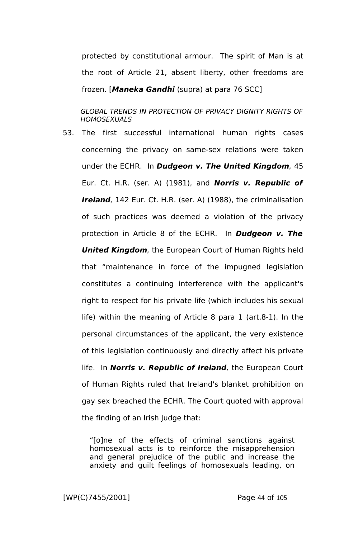protected by constitutional armour. The spirit of Man is at the root of Article 21, absent liberty, other freedoms are frozen. [**Maneka Gandhi** (supra) at para 76 SCC]

#### GLOBAL TRENDS IN PROTECTION OF PRIVACY DIGNITY RIGHTS OF **HOMOSEXUALS**

53. The first successful international human rights cases concerning the privacy on same-sex relations were taken under the ECHR. In **Dudgeon v. The United Kingdom**, 45 Eur. Ct. H.R. (ser. A) (1981), and **Norris v. Republic of Ireland**, 142 Eur. Ct. H.R. (ser. A) (1988), the criminalisation of such practices was deemed a violation of the privacy protection in Article 8 of the ECHR. In **Dudgeon v. The United Kingdom**, the European Court of Human Rights held that "maintenance in force of the impugned legislation constitutes a continuing interference with the applicant's right to respect for his private life (which includes his sexual life) within the meaning of Article 8 para 1 (art.8-1). In the personal circumstances of the applicant, the very existence of this legislation continuously and directly affect his private life. In **Norris v. Republic of Ireland**, the European Court of Human Rights ruled that Ireland's blanket prohibition on gay sex breached the ECHR. The Court quoted with approval the finding of an Irish Judge that:

> "[o]ne of the effects of criminal sanctions against homosexual acts is to reinforce the misapprehension and general prejudice of the public and increase the anxiety and guilt feelings of homosexuals leading, on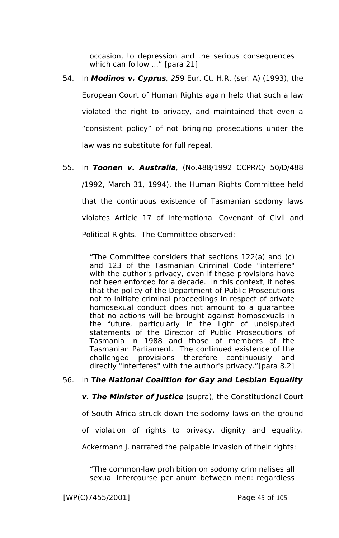occasion, to depression and the serious consequences which can follow ..." [para 21]

- 54. In **Modinos v. Cyprus**, 259 Eur. Ct. H.R. (ser. A) (1993), the European Court of Human Rights again held that such a law violated the right to privacy, and maintained that even a "consistent policy" of not bringing prosecutions under the law was no substitute for full repeal.
- 55. In **Toonen v. Australia**, (No.488/1992 CCPR/C/ 50/D/488 /1992, March 31, 1994), the Human Rights Committee held that the continuous existence of Tasmanian sodomy laws violates Article 17 of International Covenant of Civil and Political Rights. The Committee observed:

"The Committee considers that sections 122(a) and (c) and 123 of the Tasmanian Criminal Code "interfere" with the author's privacy, even if these provisions have not been enforced for a decade. In this context, it notes that the policy of the Department of Public Prosecutions not to initiate criminal proceedings in respect of private homosexual conduct does not amount to a guarantee that no actions will be brought against homosexuals in the future, particularly in the light of undisputed statements of the Director of Public Prosecutions of Tasmania in 1988 and those of members of the Tasmanian Parliament. The continued existence of the challenged provisions therefore continuously and directly "interferes" with the author's privacy."[para 8.2]

#### 56. In **The National Coalition for Gay and Lesbian Equality**

**v. The Minister of Justice** (supra), the Constitutional Court

of South Africa struck down the sodomy laws on the ground

of violation of rights to privacy, dignity and equality.

Ackermann J. narrated the palpable invasion of their rights:

"The common-law prohibition on sodomy criminalises all sexual intercourse per anum between men: regardless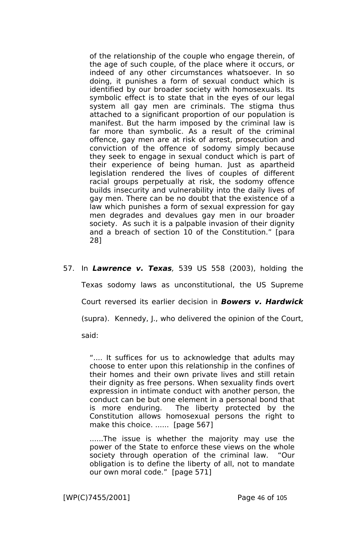of the relationship of the couple who engage therein, of the age of such couple, of the place where it occurs, or indeed of any other circumstances whatsoever. In so doing, it punishes a form of sexual conduct which is identified by our broader society with homosexuals. Its symbolic effect is to state that in the eyes of our legal system all gay men are criminals. The stigma thus attached to a significant proportion of our population is manifest. But the harm imposed by the criminal law is far more than symbolic. As a result of the criminal offence, gay men are at risk of arrest, prosecution and conviction of the offence of sodomy simply because they seek to engage in sexual conduct which is part of their experience of being human. Just as apartheid legislation rendered the lives of couples of different racial groups perpetually at risk, the sodomy offence builds insecurity and vulnerability into the daily lives of gay men. There can be no doubt that the existence of a law which punishes a form of sexual expression for gay men degrades and devalues gay men in our broader society. As such it is a palpable invasion of their dignity and a breach of section 10 of the Constitution." [para 28]

57. In **Lawrence v. Texas**, 539 US 558 (2003), holding the

Texas sodomy laws as unconstitutional, the US Supreme Court reversed its earlier decision in **Bowers v. Hardwick** (supra). Kennedy, J., who delivered the opinion of the Court, said:

".... It suffices for us to acknowledge that adults may choose to enter upon this relationship in the confines of their homes and their own private lives and still retain their dignity as free persons. When sexuality finds overt expression in intimate conduct with another person, the conduct can be but one element in a personal bond that is more enduring. The liberty protected by the Constitution allows homosexual persons the right to make this choice. ...... [page 567]

......The issue is whether the majority may use the power of the State to enforce these views on the whole society through operation of the criminal law. "Our obligation is to define the liberty of all, not to mandate our own moral code." [page 571]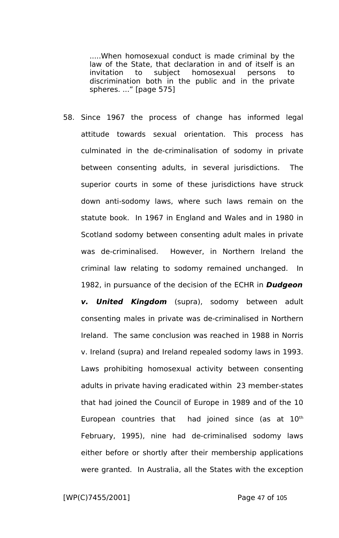.....When homosexual conduct is made criminal by the law of the State, that declaration in and of itself is an invitation to subject homosexual persons to discrimination both in the public and in the private spheres. ..." [page 575]

58. Since 1967 the process of change has informed legal attitude towards sexual orientation. This process has culminated in the de-criminalisation of sodomy in private between consenting adults, in several jurisdictions. The superior courts in some of these jurisdictions have struck down anti-sodomy laws, where such laws remain on the statute book. In 1967 in England and Wales and in 1980 in Scotland sodomy between consenting adult males in private was de-criminalised. However, in Northern Ireland the criminal law relating to sodomy remained unchanged. In 1982, in pursuance of the decision of the ECHR in **Dudgeon v. United Kingdom** (supra), sodomy between adult consenting males in private was de-criminalised in Northern Ireland. The same conclusion was reached in 1988 in Norris v. Ireland (supra) and Ireland repealed sodomy laws in 1993. Laws prohibiting homosexual activity between consenting adults in private having eradicated within 23 member-states that had joined the Council of Europe in 1989 and of the 10 European countries that had joined since (as at  $10^{th}$ February, 1995), nine had de-criminalised sodomy laws either before or shortly after their membership applications were granted. In Australia, all the States with the exception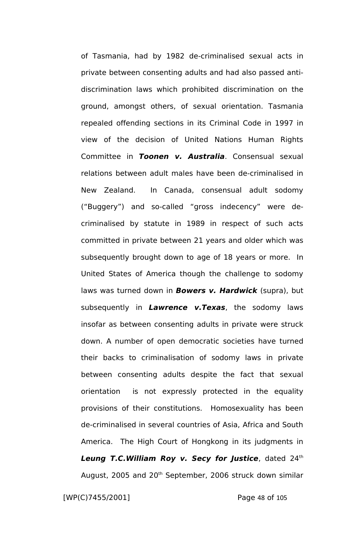of Tasmania, had by 1982 de-criminalised sexual acts in private between consenting adults and had also passed antidiscrimination laws which prohibited discrimination on the ground, amongst others, of sexual orientation. Tasmania repealed offending sections in its Criminal Code in 1997 in view of the decision of United Nations Human Rights Committee in **Toonen v. Australia**. Consensual sexual relations between adult males have been de-criminalised in New Zealand. In Canada, consensual adult sodomy ("Buggery") and so-called "gross indecency" were decriminalised by statute in 1989 in respect of such acts committed in private between 21 years and older which was subsequently brought down to age of 18 years or more. In United States of America though the challenge to sodomy laws was turned down in **Bowers v. Hardwick** (supra), but subsequently in **Lawrence v.Texas**, the sodomy laws insofar as between consenting adults in private were struck down. A number of open democratic societies have turned their backs to criminalisation of sodomy laws in private between consenting adults despite the fact that sexual orientation is not expressly protected in the equality provisions of their constitutions. Homosexuality has been de-criminalised in several countries of Asia, Africa and South America. The High Court of Hongkong in its judgments in **Leung T.C.William Roy v. Secy for Justice**, dated 24 th August, 2005 and 20<sup>th</sup> September, 2006 struck down similar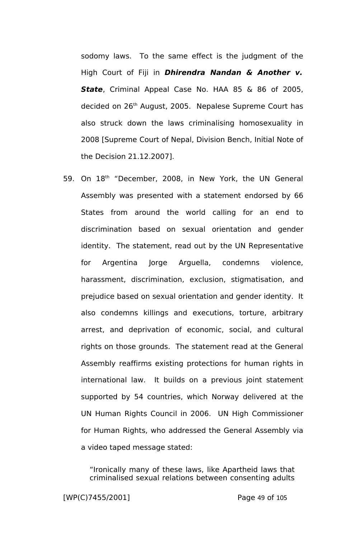sodomy laws. To the same effect is the judgment of the High Court of Fiji in **Dhirendra Nandan & Another v. State**, Criminal Appeal Case No. HAA 85 & 86 of 2005, decided on 26th August, 2005. Nepalese Supreme Court has also struck down the laws criminalising homosexuality in 2008 [Supreme Court of Nepal, Division Bench, Initial Note of the Decision 21.12.2007].

59. On 18th "December, 2008, in New York, the UN General Assembly was presented with a statement endorsed by 66 States from around the world calling for an end to discrimination based on sexual orientation and gender identity. The statement, read out by the UN Representative for Argentina Jorge Arguella, condemns violence, harassment, discrimination, exclusion, stigmatisation, and prejudice based on sexual orientation and gender identity. It also condemns killings and executions, torture, arbitrary arrest, and deprivation of economic, social, and cultural rights on those grounds. The statement read at the General Assembly reaffirms existing protections for human rights in international law. It builds on a previous joint statement supported by 54 countries, which Norway delivered at the UN Human Rights Council in 2006. UN High Commissioner for Human Rights, who addressed the General Assembly via a video taped message stated:

> "Ironically many of these laws, like Apartheid laws that criminalised sexual relations between consenting adults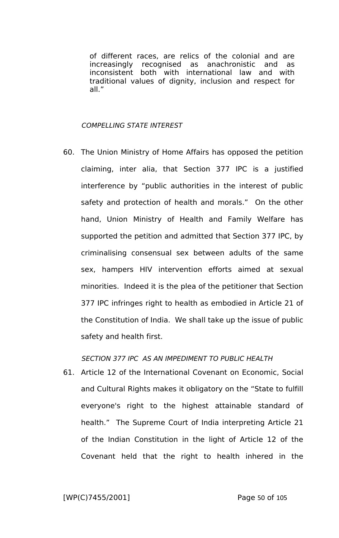of different races, are relics of the colonial and are increasingly recognised as anachronistic and as inconsistent both with international law and with traditional values of dignity, inclusion and respect for all."

#### COMPELLING STATE INTEREST

60. The Union Ministry of Home Affairs has opposed the petition claiming, inter alia, that Section 377 IPC is a justified interference by "public authorities in the interest of public safety and protection of health and morals." On the other hand, Union Ministry of Health and Family Welfare has supported the petition and admitted that Section 377 IPC, by criminalising consensual sex between adults of the same sex, hampers HIV intervention efforts aimed at sexual minorities. Indeed it is the plea of the petitioner that Section 377 IPC infringes right to health as embodied in Article 21 of the Constitution of India. We shall take up the issue of public safety and health first.

SECTION 377 IPC AS AN IMPEDIMENT TO PUBLIC HEALTH

61. Article 12 of the International Covenant on Economic, Social and Cultural Rights makes it obligatory on the "State to fulfill everyone's right to the highest attainable standard of health." The Supreme Court of India interpreting Article 21 of the Indian Constitution in the light of Article 12 of the Covenant held that the right to health inhered in the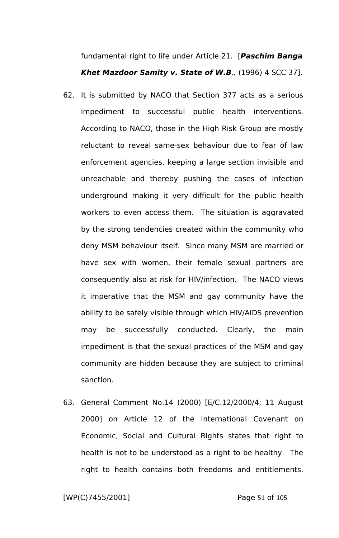fundamental right to life under Article 21. [**Paschim Banga Khet Mazdoor Samity v. State of W.B**., (1996) 4 SCC 37].

- 62. It is submitted by NACO that Section 377 acts as a serious impediment to successful public health interventions. According to NACO, those in the High Risk Group are mostly reluctant to reveal same-sex behaviour due to fear of law enforcement agencies, keeping a large section invisible and unreachable and thereby pushing the cases of infection underground making it very difficult for the public health workers to even access them. The situation is aggravated by the strong tendencies created within the community who deny MSM behaviour itself. Since many MSM are married or have sex with women, their female sexual partners are consequently also at risk for HIV/infection. The NACO views it imperative that the MSM and gay community have the ability to be safely visible through which HIV/AIDS prevention may be successfully conducted. Clearly, the main impediment is that the sexual practices of the MSM and gay community are hidden because they are subject to criminal sanction.
- 63. General Comment No.14 (2000) [E/C.12/2000/4; 11 August 2000] on Article 12 of the International Covenant on Economic, Social and Cultural Rights states that right to health is not to be understood as a right to be healthy. The right to health contains both freedoms and entitlements.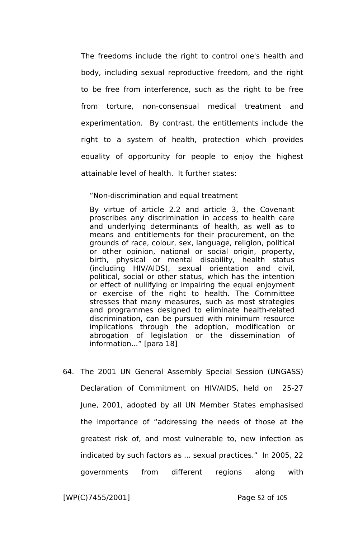The freedoms include the right to control one's health and body, including sexual reproductive freedom, and the right to be free from interference, such as the right to be free from torture, non-consensual medical treatment and experimentation. By contrast, the entitlements include the right to a system of health, protection which provides equality of opportunity for people to enjoy the highest attainable level of health. It further states:

"Non-discrimination and equal treatment

By virtue of article 2.2 and article 3, the Covenant proscribes any discrimination in access to health care and underlying determinants of health, as well as to means and entitlements for their procurement, on the grounds of race, colour, sex, language, religion, political or other opinion, national or social origin, property, birth, physical or mental disability, health status (including HIV/AIDS), sexual orientation and civil, political, social or other status, which has the intention or effect of nullifying or impairing the equal enjoyment or exercise of the right to health. The Committee stresses that many measures, such as most strategies and programmes designed to eliminate health-related discrimination, can be pursued with minimum resource implications through the adoption, modification or abrogation of legislation or the dissemination of information..." [para 18]

64. The 2001 UN General Assembly Special Session (UNGASS) Declaration of Commitment on HIV/AIDS, held on 25-27 June, 2001, adopted by all UN Member States emphasised the importance of "addressing the needs of those at the greatest risk of, and most vulnerable to, new infection as indicated by such factors as ... sexual practices." In 2005, 22 governments from different regions along with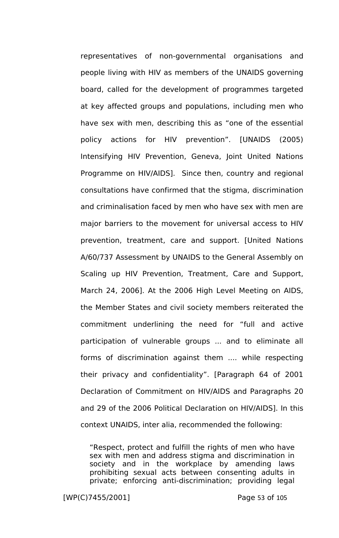representatives of non-governmental organisations and people living with HIV as members of the UNAIDS governing board, called for the development of programmes targeted at key affected groups and populations, including men who have sex with men, describing this as "one of the essential policy actions for HIV prevention". [UNAIDS (2005) Intensifying HIV Prevention, Geneva, Joint United Nations Programme on HIV/AIDS]. Since then, country and regional consultations have confirmed that the stigma, discrimination and criminalisation faced by men who have sex with men are major barriers to the movement for universal access to HIV prevention, treatment, care and support. [United Nations A/60/737 Assessment by UNAIDS to the General Assembly on Scaling up HIV Prevention, Treatment, Care and Support, March 24, 2006]. At the 2006 High Level Meeting on AIDS, the Member States and civil society members reiterated the commitment underlining the need for "full and active participation of vulnerable groups ... and to eliminate all forms of discrimination against them .... while respecting their privacy and confidentiality". [Paragraph 64 of 2001 Declaration of Commitment on HIV/AIDS and Paragraphs 20 and 29 of the 2006 Political Declaration on HIV/AIDS]. In this context UNAIDS, inter alia, recommended the following:

"Respect, protect and fulfill the rights of men who have sex with men and address stigma and discrimination in society and in the workplace by amending laws prohibiting sexual acts between consenting adults in private; enforcing anti-discrimination; providing legal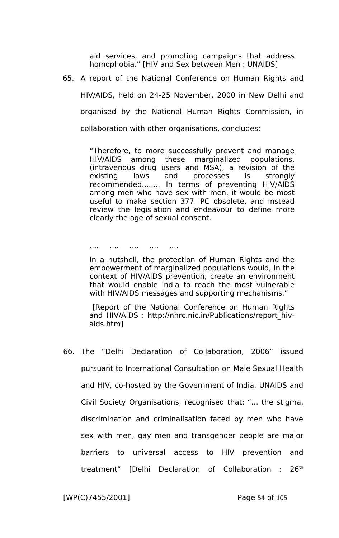aid services, and promoting campaigns that address homophobia." [HIV and Sex between Men : UNAIDS]

65. A report of the National Conference on Human Rights and HIV/AIDS, held on 24-25 November, 2000 in New Delhi and organised by the National Human Rights Commission, in collaboration with other organisations, concludes:

> "Therefore, to more successfully prevent and manage HIV/AIDS among these marginalized populations, (intravenous drug users and MSA), a revision of the existing laws and processes is strongly recommended........ In terms of preventing HIV/AIDS among men who have sex with men, it would be most useful to make section 377 IPC obsolete, and instead review the legislation and endeavour to define more clearly the age of sexual consent.

.... .... .... .... ....

In a nutshell, the protection of Human Rights and the empowerment of marginalized populations would, in the context of HIV/AIDS prevention, create an environment that would enable India to reach the most vulnerable with HIV/AIDS messages and supporting mechanisms."

[Report of the National Conference on Human Rights and HIV/AIDS : http://nhrc.nic.in/Publications/report hivaids.htm]

66. The "Delhi Declaration of Collaboration, 2006" issued pursuant to International Consultation on Male Sexual Health and HIV, co-hosted by the Government of India, UNAIDS and Civil Society Organisations, recognised that: "... the stigma, discrimination and criminalisation faced by men who have sex with men, gay men and transgender people are major barriers to universal access to HIV prevention and treatment" [Delhi Declaration of Collaboration : 26<sup>th</sup>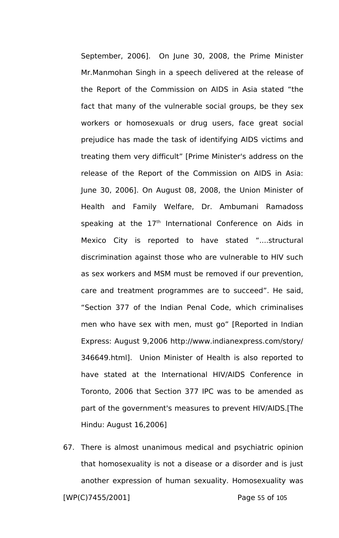September, 2006]. On June 30, 2008, the Prime Minister Mr.Manmohan Singh in a speech delivered at the release of the Report of the Commission on AIDS in Asia stated "the fact that many of the vulnerable social groups, be they sex workers or homosexuals or drug users, face great social prejudice has made the task of identifying AIDS victims and treating them very difficult" [Prime Minister's address on the release of the Report of the Commission on AIDS in Asia: June 30, 2006]. On August 08, 2008, the Union Minister of Health and Family Welfare, Dr. Ambumani Ramadoss speaking at the 17<sup>th</sup> International Conference on Aids in Mexico City is reported to have stated "....structural discrimination against those who are vulnerable to HIV such as sex workers and MSM must be removed if our prevention, care and treatment programmes are to succeed". He said, "Section 377 of the Indian Penal Code, which criminalises men who have sex with men, must go" [Reported in Indian Express: August 9,2006 http://www.indianexpress.com/story/ 346649.html]. Union Minister of Health is also reported to have stated at the International HIV/AIDS Conference in Toronto, 2006 that Section 377 IPC was to be amended as part of the government's measures to prevent HIV/AIDS.[The Hindu: August 16,2006]

67. There is almost unanimous medical and psychiatric opinion that homosexuality is not a disease or a disorder and is just another expression of human sexuality. Homosexuality was [WP(C)7455/2001] Page 55 of 105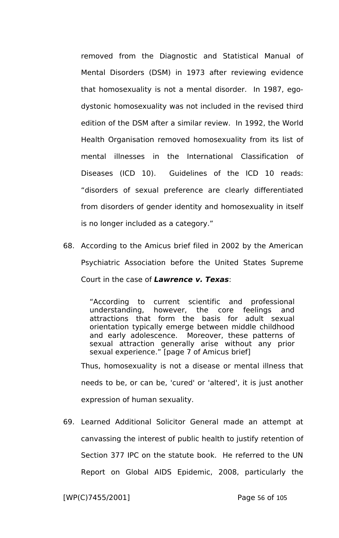removed from the Diagnostic and Statistical Manual of Mental Disorders (DSM) in 1973 after reviewing evidence that homosexuality is not a mental disorder. In 1987, egodystonic homosexuality was not included in the revised third edition of the DSM after a similar review. In 1992, the World Health Organisation removed homosexuality from its list of mental illnesses in the International Classification of Diseases (ICD 10). Guidelines of the ICD 10 reads: "disorders of sexual preference are clearly differentiated from disorders of gender identity and homosexuality in itself is no longer included as a category."

68. According to the Amicus brief filed in 2002 by the American Psychiatric Association before the United States Supreme Court in the case of **Lawrence v. Texas**:

> "According to current scientific and professional understanding, however, the core feelings attractions that form the basis for adult sexual orientation typically emerge between middle childhood and early adolescence. Moreover, these patterns of sexual attraction generally arise without any prior sexual experience." [page 7 of Amicus brief]

Thus, homosexuality is not a disease or mental illness that needs to be, or can be, 'cured' or 'altered', it is just another expression of human sexuality.

69. Learned Additional Solicitor General made an attempt at canvassing the interest of public health to justify retention of Section 377 IPC on the statute book. He referred to the UN Report on Global AIDS Epidemic, 2008, particularly the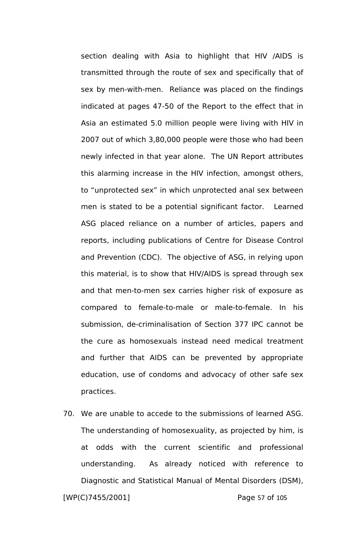section dealing with Asia to highlight that HIV /AIDS is transmitted through the route of sex and specifically that of sex by men-with-men. Reliance was placed on the findings indicated at pages 47-50 of the Report to the effect that in Asia an estimated 5.0 million people were living with HIV in 2007 out of which 3,80,000 people were those who had been newly infected in that year alone. The UN Report attributes this alarming increase in the HIV infection, amongst others, to "unprotected sex" in which unprotected anal sex between men is stated to be a potential significant factor. Learned ASG placed reliance on a number of articles, papers and reports, including publications of Centre for Disease Control and Prevention (CDC). The objective of ASG, in relying upon this material, is to show that HIV/AIDS is spread through sex and that men-to-men sex carries higher risk of exposure as compared to female-to-male or male-to-female. In his submission, de-criminalisation of Section 377 IPC cannot be the cure as homosexuals instead need medical treatment and further that AIDS can be prevented by appropriate education, use of condoms and advocacy of other safe sex practices.

70. We are unable to accede to the submissions of learned ASG. The understanding of homosexuality, as projected by him, is at odds with the current scientific and professional understanding. As already noticed with reference to Diagnostic and Statistical Manual of Mental Disorders (DSM),

[WP(C)7455/2001] Page 57 of 105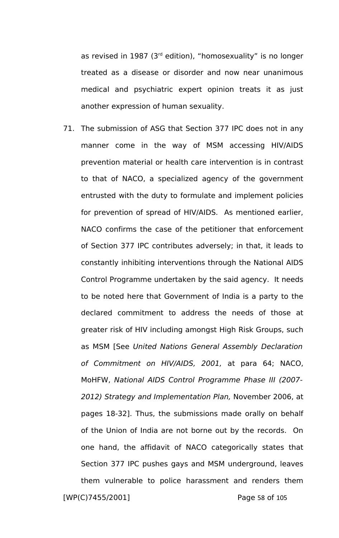as revised in 1987 (3<sup>rd</sup> edition), "homosexuality" is no longer treated as a disease or disorder and now near unanimous medical and psychiatric expert opinion treats it as just another expression of human sexuality.

71. The submission of ASG that Section 377 IPC does not in any manner come in the way of MSM accessing HIV/AIDS prevention material or health care intervention is in contrast to that of NACO, a specialized agency of the government entrusted with the duty to formulate and implement policies for prevention of spread of HIV/AIDS. As mentioned earlier, NACO confirms the case of the petitioner that enforcement of Section 377 IPC contributes adversely; in that, it leads to constantly inhibiting interventions through the National AIDS Control Programme undertaken by the said agency. It needs to be noted here that Government of India is a party to the declared commitment to address the needs of those at greater risk of HIV including amongst High Risk Groups, such as MSM [See United Nations General Assembly Declaration of Commitment on HIV/AIDS, 2001, at para 64; NACO, MoHFW, National AIDS Control Programme Phase III (2007- 2012) Strategy and Implementation Plan, November 2006, at pages 18-32]. Thus, the submissions made orally on behalf of the Union of India are not borne out by the records. On one hand, the affidavit of NACO categorically states that Section 377 IPC pushes gays and MSM underground, leaves them vulnerable to police harassment and renders them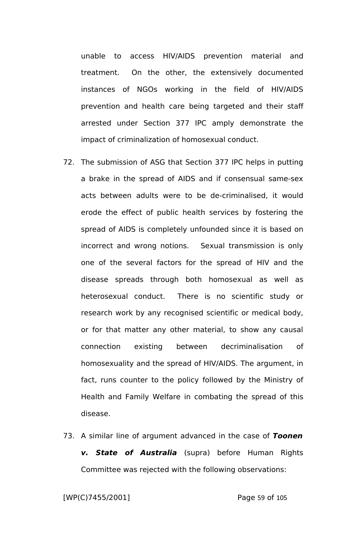unable to access HIV/AIDS prevention material and treatment. On the other, the extensively documented instances of NGOs working in the field of HIV/AIDS prevention and health care being targeted and their staff arrested under Section 377 IPC amply demonstrate the impact of criminalization of homosexual conduct.

- 72. The submission of ASG that Section 377 IPC helps in putting a brake in the spread of AIDS and if consensual same-sex acts between adults were to be de-criminalised, it would erode the effect of public health services by fostering the spread of AIDS is completely unfounded since it is based on incorrect and wrong notions. Sexual transmission is only one of the several factors for the spread of HIV and the disease spreads through both homosexual as well as heterosexual conduct. There is no scientific study or research work by any recognised scientific or medical body, or for that matter any other material, to show any causal connection existing between decriminalisation of homosexuality and the spread of HIV/AIDS. The argument, in fact, runs counter to the policy followed by the Ministry of Health and Family Welfare in combating the spread of this disease.
- 73. A similar line of argument advanced in the case of **Toonen v. State of Australia** (supra) before Human Rights Committee was rejected with the following observations: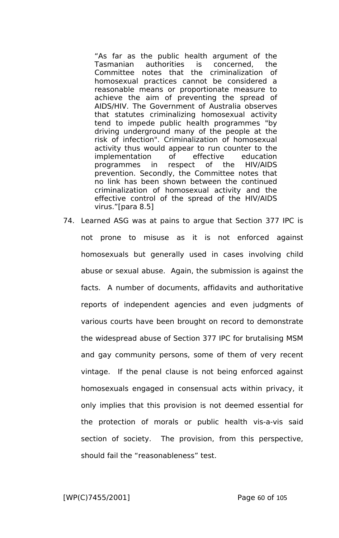"As far as the public health argument of the Tasmanian authorities is concerned, the Committee notes that the criminalization of homosexual practices cannot be considered a reasonable means or proportionate measure to achieve the aim of preventing the spread of AIDS/HIV. The Government of Australia observes that statutes criminalizing homosexual activity tend to impede public health programmes "by driving underground many of the people at the risk of infection". Criminalization of homosexual activity thus would appear to run counter to the implementation of effective education programmes in respect of the HIV/AIDS prevention. Secondly, the Committee notes that no link has been shown between the continued criminalization of homosexual activity and the effective control of the spread of the HIV/AIDS virus."[para 8.5]

74. Learned ASG was at pains to argue that Section 377 IPC is not prone to misuse as it is not enforced against homosexuals but generally used in cases involving child abuse or sexual abuse. Again, the submission is against the facts. A number of documents, affidavits and authoritative reports of independent agencies and even judgments of various courts have been brought on record to demonstrate the widespread abuse of Section 377 IPC for brutalising MSM and gay community persons, some of them of very recent vintage. If the penal clause is not being enforced against homosexuals engaged in consensual acts within privacy, it only implies that this provision is not deemed essential for the protection of morals or public health vis-a-vis said section of society. The provision, from this perspective, should fail the "reasonableness" test.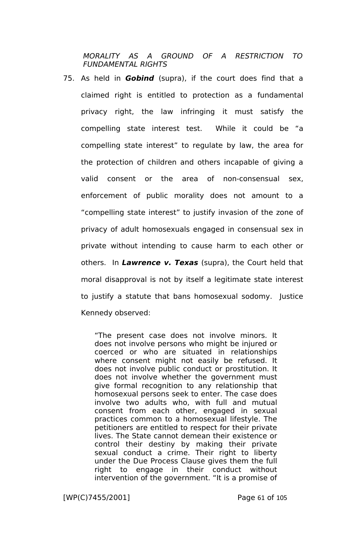MORALITY AS A GROUND OF A RESTRICTION TO FUNDAMENTAL RIGHTS

75. As held in **Gobind** (supra), if the court does find that a claimed right is entitled to protection as a fundamental privacy right, the law infringing it must satisfy the compelling state interest test. While it could be "a compelling state interest" to regulate by law, the area for the protection of children and others incapable of giving a valid consent or the area of non-consensual sex, enforcement of public morality does not amount to a "compelling state interest" to justify invasion of the zone of privacy of adult homosexuals engaged in consensual sex in private without intending to cause harm to each other or others. In **Lawrence v. Texas** (supra), the Court held that moral disapproval is not by itself a legitimate state interest to justify a statute that bans homosexual sodomy. Justice Kennedy observed:

> "The present case does not involve minors. It does not involve persons who might be injured or coerced or who are situated in relationships where consent might not easily be refused. It does not involve public conduct or prostitution. It does not involve whether the government must give formal recognition to any relationship that homosexual persons seek to enter. The case does involve two adults who, with full and mutual consent from each other, engaged in sexual practices common to a homosexual lifestyle. The petitioners are entitled to respect for their private lives. The State cannot demean their existence or control their destiny by making their private sexual conduct a crime. Their right to liberty under the Due Process Clause gives them the full right to engage in their conduct without intervention of the government. "It is a promise of

[WP(C)7455/2001] Page 61 of 105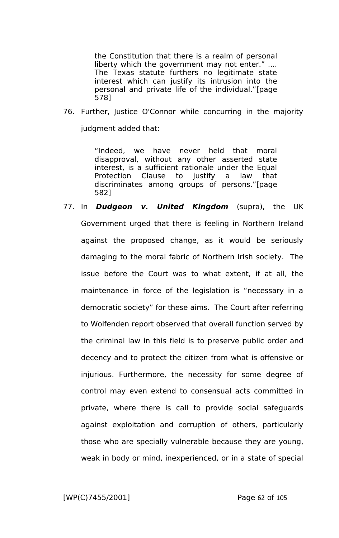the Constitution that there is a realm of personal liberty which the government may not enter." .... The Texas statute furthers no legitimate state interest which can justify its intrusion into the personal and private life of the individual."[page 578]

76. Further, Justice O'Connor while concurring in the majority judgment added that:

> "Indeed, we have never held that moral disapproval, without any other asserted state interest, is a sufficient rationale under the Equal Protection Clause to justify a law that discriminates among groups of persons."[page 582]

77. In **Dudgeon v. United Kingdom** (supra), the UK

# Government urged that there is feeling in Northern Ireland against the proposed change, as it would be seriously damaging to the moral fabric of Northern Irish society. The issue before the Court was to what extent, if at all, the maintenance in force of the legislation is "necessary in a democratic society" for these aims. The Court after referring to Wolfenden report observed that overall function served by the criminal law in this field is to preserve public order and decency and to protect the citizen from what is offensive or injurious. Furthermore, the necessity for some degree of control may even extend to consensual acts committed in

private, where there is call to provide social safeguards against exploitation and corruption of others, particularly those who are specially vulnerable because they are young, weak in body or mind, inexperienced, or in a state of special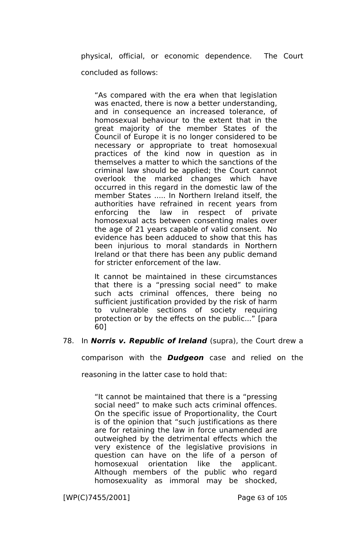physical, official, or economic dependence. The Court

concluded as follows:

"As compared with the era when that legislation was enacted, there is now a better understanding, and in consequence an increased tolerance, of homosexual behaviour to the extent that in the great majority of the member States of the Council of Europe it is no longer considered to be necessary or appropriate to treat homosexual practices of the kind now in question as in themselves a matter to which the sanctions of the criminal law should be applied; the Court cannot overlook the marked changes which have occurred in this regard in the domestic law of the member States ..... In Northern Ireland itself, the authorities have refrained in recent years from enforcing the law in respect of private homosexual acts between consenting males over the age of 21 years capable of valid consent. No evidence has been adduced to show that this has been injurious to moral standards in Northern Ireland or that there has been any public demand for stricter enforcement of the law.

It cannot be maintained in these circumstances that there is a "pressing social need" to make such acts criminal offences, there being no sufficient justification provided by the risk of harm to vulnerable sections of society requiring protection or by the effects on the public..." [para 60]

### 78. In **Norris v. Republic of Ireland** (supra), the Court drew a

comparison with the **Dudgeon** case and relied on the

reasoning in the latter case to hold that:

"It cannot be maintained that there is a "pressing social need" to make such acts criminal offences. On the specific issue of Proportionality, the Court is of the opinion that "such justifications as there are for retaining the law in force unamended are outweighed by the detrimental effects which the very existence of the legislative provisions in question can have on the life of a person of homosexual orientation like the applicant. Although members of the public who regard homosexuality as immoral may be shocked,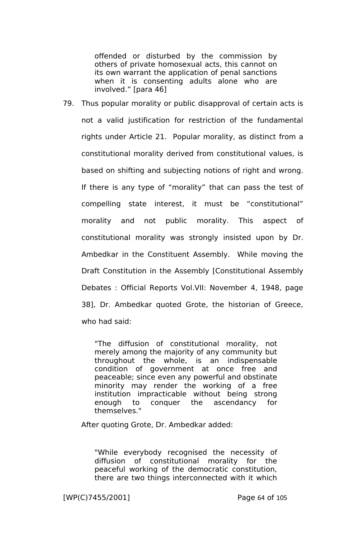offended or disturbed by the commission by others of private homosexual acts, this cannot on its own warrant the application of penal sanctions when it is consenting adults alone who are involved." [para 46]

79. Thus popular morality or public disapproval of certain acts is not a valid justification for restriction of the fundamental rights under Article 21. Popular morality, as distinct from a constitutional morality derived from constitutional values, is based on shifting and subjecting notions of right and wrong. If there is any type of "morality" that can pass the test of compelling state interest, it must be "constitutional" morality and not public morality. This aspect of constitutional morality was strongly insisted upon by Dr. Ambedkar in the Constituent Assembly. While moving the Draft Constitution in the Assembly [Constitutional Assembly Debates : Official Reports Vol.VII: November 4, 1948, page 38], Dr. Ambedkar quoted Grote, the historian of Greece, who had said:

> "The diffusion of constitutional morality, not merely among the majority of any community but throughout the whole, is an indispensable condition of government at once free and peaceable; since even any powerful and obstinate minority may render the working of a free institution impracticable without being strong enough to conquer the ascendancy for themselves."

After quoting Grote, Dr. Ambedkar added:

"While everybody recognised the necessity of diffusion of constitutional morality for the peaceful working of the democratic constitution, there are two things interconnected with it which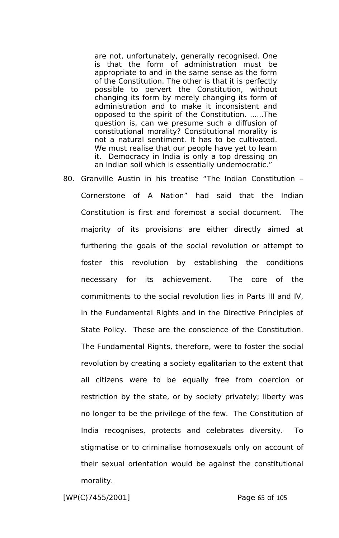are not, unfortunately, generally recognised. One is that the form of administration must be appropriate to and in the same sense as the form of the Constitution. The other is that it is perfectly possible to pervert the Constitution, without changing its form by merely changing its form of administration and to make it inconsistent and opposed to the spirit of the Constitution. ......The question is, can we presume such a diffusion of constitutional morality? Constitutional morality is not a natural sentiment. It has to be cultivated. We must realise that our people have yet to learn it. Democracy in India is only a top dressing on an Indian soil which is essentially undemocratic."

80. Granville Austin in his treatise "The Indian Constitution – Cornerstone of A Nation" had said that the Indian Constitution is first and foremost a social document. The majority of its provisions are either directly aimed at furthering the goals of the social revolution or attempt to foster this revolution by establishing the conditions necessary for its achievement. The core of the commitments to the social revolution lies in Parts III and IV, in the Fundamental Rights and in the Directive Principles of State Policy. These are the conscience of the Constitution. The Fundamental Rights, therefore, were to foster the social revolution by creating a society egalitarian to the extent that all citizens were to be equally free from coercion or restriction by the state, or by society privately; liberty was no longer to be the privilege of the few. The Constitution of India recognises, protects and celebrates diversity. To stigmatise or to criminalise homosexuals only on account of their sexual orientation would be against the constitutional morality.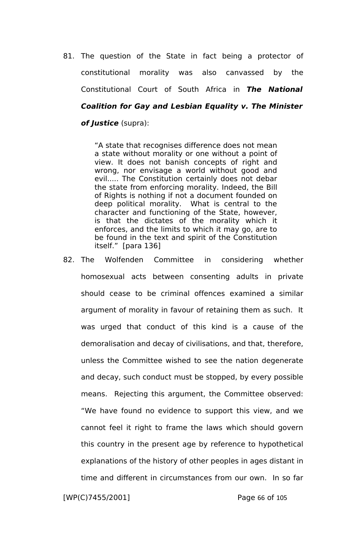81. The question of the State in fact being a protector of constitutional morality was also canvassed by the Constitutional Court of South Africa in **The National Coalition for Gay and Lesbian Equality v. The Minister of Justice** (supra):

> "A state that recognises difference does not mean a state without morality or one without a point of view. It does not banish concepts of right and wrong, nor envisage a world without good and evil..... The Constitution certainly does not debar the state from enforcing morality. Indeed, the Bill of Rights is nothing if not a document founded on deep political morality. What is central to the character and functioning of the State, however, is that the dictates of the morality which it enforces, and the limits to which it may go, are to be found in the text and spirit of the Constitution itself." [para 136]

82. The Wolfenden Committee in considering whether homosexual acts between consenting adults in private should cease to be criminal offences examined a similar argument of morality in favour of retaining them as such. It was urged that conduct of this kind is a cause of the demoralisation and decay of civilisations, and that, therefore, unless the Committee wished to see the nation degenerate and decay, such conduct must be stopped, by every possible means. Rejecting this argument, the Committee observed: "We have found no evidence to support this view, and we cannot feel it right to frame the laws which should govern this country in the present age by reference to hypothetical explanations of the history of other peoples in ages distant in time and different in circumstances from our own. In so far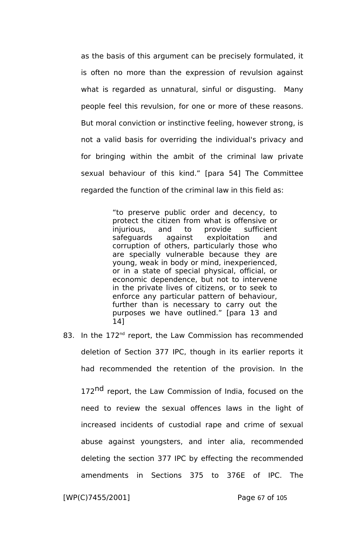as the basis of this argument can be precisely formulated, it is often no more than the expression of revulsion against what is regarded as unnatural, sinful or disgusting. Many people feel this revulsion, for one or more of these reasons. But moral conviction or instinctive feeling, however strong, is not a valid basis for overriding the individual's privacy and for bringing within the ambit of the criminal law private sexual behaviour of this kind." [para 54] The Committee regarded the function of the criminal law in this field as:

> "to preserve public order and decency, to protect the citizen from what is offensive or injurious, and to provide sufficient safeguards against exploitation and corruption of others, particularly those who are specially vulnerable because they are young, weak in body or mind, inexperienced, or in a state of special physical, official, or economic dependence, but not to intervene in the private lives of citizens, or to seek to enforce any particular pattern of behaviour, further than is necessary to carry out the purposes we have outlined." [para 13 and 14]

83. In the 172<sup>nd</sup> report, the Law Commission has recommended deletion of Section 377 IPC, though in its earlier reports it had recommended the retention of the provision. In the 172<sup>nd</sup> report, the Law Commission of India, focused on the need to review the sexual offences laws in the light of increased incidents of custodial rape and crime of sexual abuse against youngsters, and inter alia, recommended deleting the section 377 IPC by effecting the recommended amendments in Sections 375 to 376E of IPC. The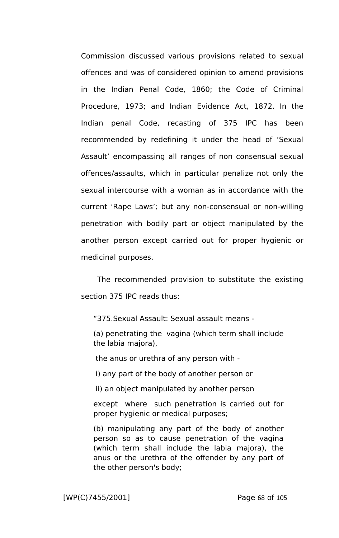Commission discussed various provisions related to sexual offences and was of considered opinion to amend provisions in the Indian Penal Code, 1860; the Code of Criminal Procedure, 1973; and Indian Evidence Act, 1872. In the Indian penal Code, recasting of 375 IPC has been recommended by redefining it under the head of 'Sexual Assault' encompassing all ranges of non consensual sexual offences/assaults, which in particular penalize not only the sexual intercourse with a woman as in accordance with the current 'Rape Laws'; but any non-consensual or non-willing penetration with bodily part or object manipulated by the another person except carried out for proper hygienic or medicinal purposes.

The recommended provision to substitute the existing section 375 IPC reads thus:

"375.Sexual Assault: Sexual assault means -

(a) penetrating the vagina (which term shall include the labia majora),

the anus or urethra of any person with -

i) any part of the body of another person or

ii) an object manipulated by another person

except where such penetration is carried out for proper hygienic or medical purposes;

(b) manipulating any part of the body of another person so as to cause penetration of the vagina (which term shall include the labia majora), the anus or the urethra of the offender by any part of the other person's body;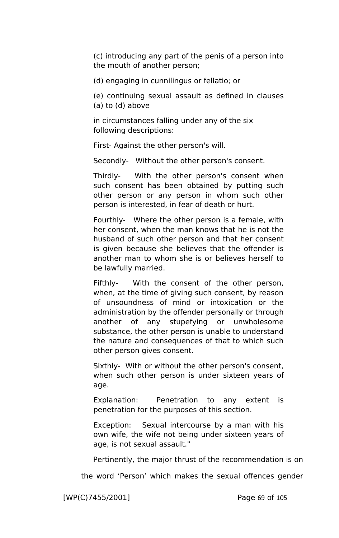(c) introducing any part of the penis of a person into the mouth of another person;

(d) engaging in cunnilingus or fellatio; or

(e) continuing sexual assault as defined in clauses (a) to (d) above

in circumstances falling under any of the six following descriptions:

First- Against the other person's will.

Secondly- Without the other person's consent.

Thirdly- With the other person's consent when such consent has been obtained by putting such other person or any person in whom such other person is interested, in fear of death or hurt.

Fourthly- Where the other person is a female, with her consent, when the man knows that he is not the husband of such other person and that her consent is given because she believes that the offender is another man to whom she is or believes herself to be lawfully married.

Fifthly- With the consent of the other person, when, at the time of giving such consent, by reason of unsoundness of mind or intoxication or the administration by the offender personally or through another of any stupefying or unwholesome substance, the other person is unable to understand the nature and consequences of that to which such other person gives consent.

Sixthly- With or without the other person's consent, when such other person is under sixteen years of age.

Explanation: Penetration to any extent is penetration for the purposes of this section.

Exception: Sexual intercourse by a man with his own wife, the wife not being under sixteen years of age, is not sexual assault."

Pertinently, the major thrust of the recommendation is on

the word 'Person' which makes the sexual offences gender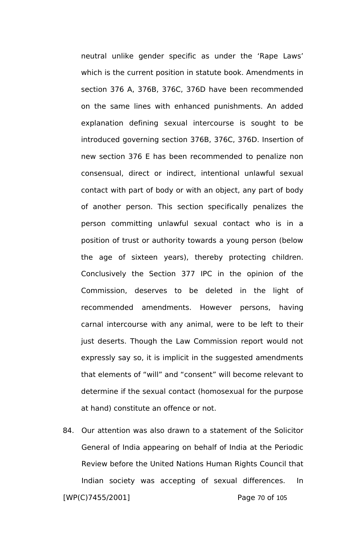neutral unlike gender specific as under the 'Rape Laws' which is the current position in statute book. Amendments in section 376 A, 376B, 376C, 376D have been recommended on the same lines with enhanced punishments. An added explanation defining sexual intercourse is sought to be introduced governing section 376B, 376C, 376D. Insertion of new section 376 E has been recommended to penalize non consensual, direct or indirect, intentional unlawful sexual contact with part of body or with an object, any part of body of another person. This section specifically penalizes the person committing unlawful sexual contact who is in a position of trust or authority towards a young person (below the age of sixteen years), thereby protecting children. Conclusively the Section 377 IPC in the opinion of the Commission, deserves to be deleted in the light of recommended amendments. However persons, having carnal intercourse with any animal, were to be left to their just deserts. Though the Law Commission report would not expressly say so, it is implicit in the suggested amendments that elements of "will" and "consent" will become relevant to determine if the sexual contact (homosexual for the purpose at hand) constitute an offence or not.

84. Our attention was also drawn to a statement of the Solicitor General of India appearing on behalf of India at the Periodic Review before the United Nations Human Rights Council that Indian society was accepting of sexual differences. In [WP(C)7455/2001] Page 70 of 105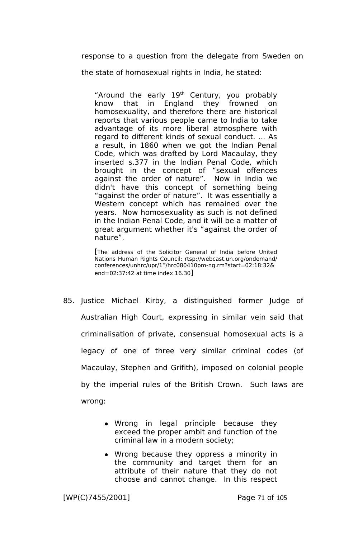response to a question from the delegate from Sweden on

the state of homosexual rights in India, he stated:

"Around the early  $19<sup>th</sup>$  Century, you probably know that in England they frowned on homosexuality, and therefore there are historical reports that various people came to India to take advantage of its more liberal atmosphere with regard to different kinds of sexual conduct. ... As a result, in 1860 when we got the Indian Penal Code, which was drafted by Lord Macaulay, they inserted s.377 in the Indian Penal Code, which brought in the concept of "sexual offences against the order of nature". Now in India we didn't have this concept of something being "against the order of nature". It was essentially a Western concept which has remained over the years. Now homosexuality as such is not defined in the Indian Penal Code, and it will be a matter of great argument whether it's "against the order of nature".

[The address of the Solicitor General of India before United Nations Human Rights Council: rtsp://webcast.un.org/ondemand/ conferences/unhrc/upr/1st/hrc080410pm-ng.rm?start=02:18:32& end=02:37:42 at time index 16.30]

- 85. Justice Michael Kirby, a distinguished former Judge of Australian High Court, expressing in similar vein said that criminalisation of private, consensual homosexual acts is a legacy of one of three very similar criminal codes (of Macaulay, Stephen and Grifith), imposed on colonial people by the imperial rules of the British Crown. Such laws are wrong:
	- Wrong in legal principle because they exceed the proper ambit and function of the criminal law in a modern society;
	- Wrong because they oppress a minority in the community and target them for an attribute of their nature that they do not choose and cannot change. In this respect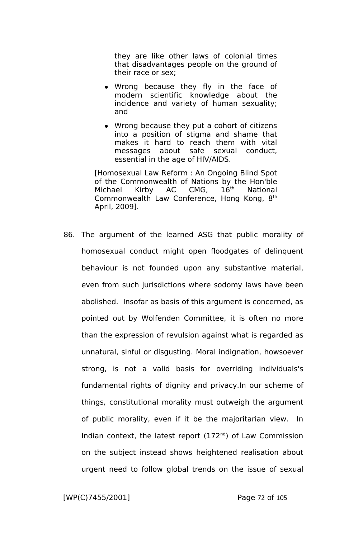they are like other laws of colonial times that disadvantages people on the ground of their race or sex;

- Wrong because they fly in the face of modern scientific knowledge about the incidence and variety of human sexuality; and
- Wrong because they put a cohort of citizens into a position of stigma and shame that makes it hard to reach them with vital messages about safe sexual conduct, essential in the age of HIV/AIDS.

[Homosexual Law Reform : An Ongoing Blind Spot of the Commonwealth of Nations by the Hon'ble<br>Michael Kirby AC CMG, 16<sup>th</sup> National Michael Kirby AC CMG, 16<sup>th</sup> National Commonwealth Law Conference, Hong Kong, 8<sup>th</sup> April, 2009].

86. The argument of the learned ASG that public morality of homosexual conduct might open floodgates of delinquent behaviour is not founded upon any substantive material, even from such jurisdictions where sodomy laws have been abolished. Insofar as basis of this argument is concerned, as pointed out by Wolfenden Committee, it is often no more than the expression of revulsion against what is regarded as unnatural, sinful or disgusting. Moral indignation, howsoever strong, is not a valid basis for overriding individuals's fundamental rights of dignity and privacy.In our scheme of things, constitutional morality must outweigh the argument of public morality, even if it be the majoritarian view. In Indian context, the latest report  $(172<sup>nd</sup>)$  of Law Commission on the subject instead shows heightened realisation about urgent need to follow global trends on the issue of sexual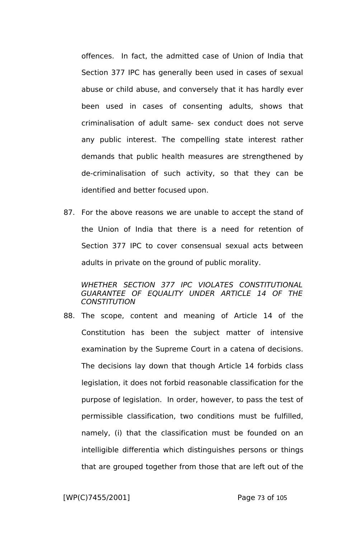offences. In fact, the admitted case of Union of India that Section 377 IPC has generally been used in cases of sexual abuse or child abuse, and conversely that it has hardly ever been used in cases of consenting adults, shows that criminalisation of adult same- sex conduct does not serve any public interest. The compelling state interest rather demands that public health measures are strengthened by de-criminalisation of such activity, so that they can be identified and better focused upon.

87. For the above reasons we are unable to accept the stand of the Union of India that there is a need for retention of Section 377 IPC to cover consensual sexual acts between adults in private on the ground of public morality.

WHETHER SECTION 377 IPC VIOLATES CONSTITUTIONAL GUARANTEE OF EQUALITY UNDER ARTICLE 14 OF THE **CONSTITUTION** 

88. The scope, content and meaning of Article 14 of the Constitution has been the subject matter of intensive examination by the Supreme Court in a catena of decisions. The decisions lay down that though Article 14 forbids class legislation, it does not forbid reasonable classification for the purpose of legislation. In order, however, to pass the test of permissible classification, two conditions must be fulfilled, namely, (i) that the classification must be founded on an intelligible differentia which distinguishes persons or things that are grouped together from those that are left out of the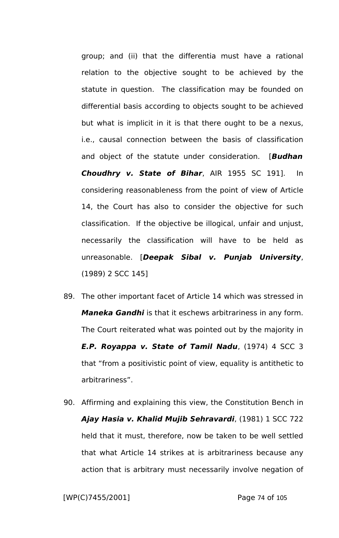group; and (ii) that the differentia must have a rational relation to the objective sought to be achieved by the statute in question. The classification may be founded on differential basis according to objects sought to be achieved but what is implicit in it is that there ought to be a nexus, i.e., causal connection between the basis of classification and object of the statute under consideration. [**Budhan Choudhry v. State of Bihar**, AIR 1955 SC 191]. In considering reasonableness from the point of view of Article 14, the Court has also to consider the objective for such classification. If the objective be illogical, unfair and unjust, necessarily the classification will have to be held as unreasonable. [**Deepak Sibal v. Punjab University**, (1989) 2 SCC 145]

- 89. The other important facet of Article 14 which was stressed in **Maneka Gandhi** is that it eschews arbitrariness in any form. The Court reiterated what was pointed out by the majority in **E.P. Royappa v. State of Tamil Nadu**, (1974) 4 SCC 3 that "from a positivistic point of view, equality is antithetic to arbitrariness".
- 90. Affirming and explaining this view, the Constitution Bench in **Ajay Hasia v. Khalid Mujib Sehravardi**, (1981) 1 SCC 722 held that it must, therefore, now be taken to be well settled that what Article 14 strikes at is arbitrariness because any action that is arbitrary must necessarily involve negation of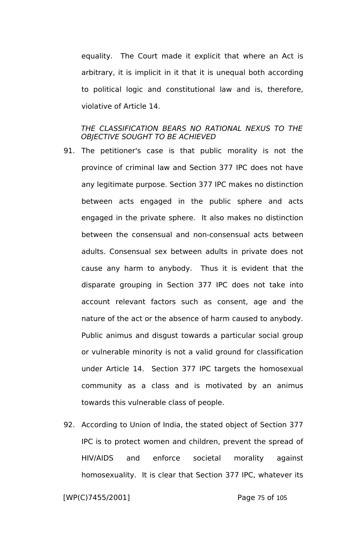equality. The Court made it explicit that where an Act is arbitrary, it is implicit in it that it is unequal both according to political logic and constitutional law and is, therefore, violative of Article 14.

#### THE CLASSIFICATION BEARS NO RATIONAL NEXUS TO THE OBJECTIVE SOUGHT TO BE ACHIEVED

- 91. The petitioner's case is that public morality is not the province of criminal law and Section 377 IPC does not have any legitimate purpose. Section 377 IPC makes no distinction between acts engaged in the public sphere and acts engaged in the private sphere. It also makes no distinction between the consensual and non-consensual acts between adults. Consensual sex between adults in private does not cause any harm to anybody. Thus it is evident that the disparate grouping in Section 377 IPC does not take into account relevant factors such as consent, age and the nature of the act or the absence of harm caused to anybody. Public animus and disgust towards a particular social group or vulnerable minority is not a valid ground for classification under Article 14. Section 377 IPC targets the homosexual community as a class and is motivated by an animus towards this vulnerable class of people.
- 92. According to Union of India, the stated object of Section 377 IPC is to protect women and children, prevent the spread of HIV/AIDS and enforce societal morality against homosexuality. It is clear that Section 377 IPC, whatever its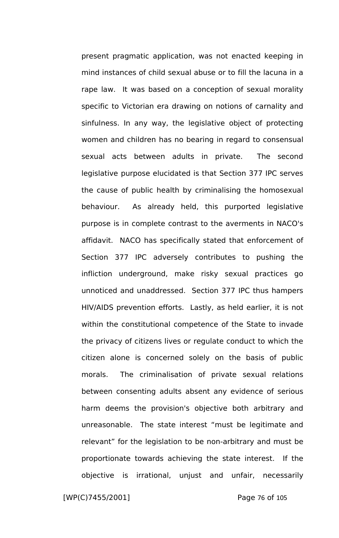present pragmatic application, was not enacted keeping in mind instances of child sexual abuse or to fill the lacuna in a rape law. It was based on a conception of sexual morality specific to Victorian era drawing on notions of carnality and sinfulness. In any way, the legislative object of protecting women and children has no bearing in regard to consensual sexual acts between adults in private. The second legislative purpose elucidated is that Section 377 IPC serves the cause of public health by criminalising the homosexual behaviour. As already held, this purported legislative purpose is in complete contrast to the averments in NACO's affidavit. NACO has specifically stated that enforcement of Section 377 IPC adversely contributes to pushing the infliction underground, make risky sexual practices go unnoticed and unaddressed. Section 377 IPC thus hampers HIV/AIDS prevention efforts. Lastly, as held earlier, it is not within the constitutional competence of the State to invade the privacy of citizens lives or regulate conduct to which the citizen alone is concerned solely on the basis of public morals. The criminalisation of private sexual relations between consenting adults absent any evidence of serious harm deems the provision's objective both arbitrary and unreasonable. The state interest "must be legitimate and relevant" for the legislation to be non-arbitrary and must be proportionate towards achieving the state interest. If the objective is irrational, unjust and unfair, necessarily

[WP(C)7455/2001] Page 76 of 105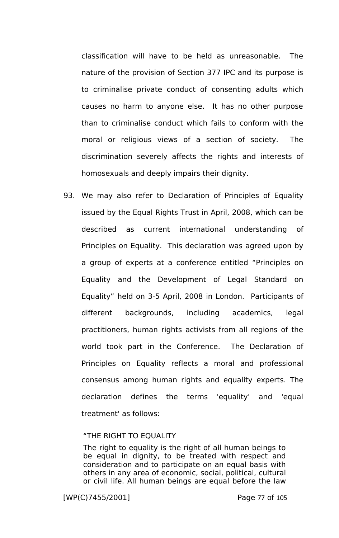classification will have to be held as unreasonable. The nature of the provision of Section 377 IPC and its purpose is to criminalise private conduct of consenting adults which causes no harm to anyone else. It has no other purpose than to criminalise conduct which fails to conform with the moral or religious views of a section of society. The discrimination severely affects the rights and interests of homosexuals and deeply impairs their dignity.

93. We may also refer to Declaration of Principles of Equality issued by the Equal Rights Trust in April, 2008, which can be described as current international understanding of Principles on Equality. This declaration was agreed upon by a group of experts at a conference entitled "Principles on Equality and the Development of Legal Standard on Equality" held on 3-5 April, 2008 in London. Participants of different backgrounds, including academics, legal practitioners, human rights activists from all regions of the world took part in the Conference. The Declaration of Principles on Equality reflects a moral and professional consensus among human rights and equality experts. The declaration defines the terms 'equality' and 'equal treatment' as follows:

#### "THE RIGHT TO EQUALITY

The right to equality is the right of all human beings to be equal in dignity, to be treated with respect and consideration and to participate on an equal basis with others in any area of economic, social, political, cultural or civil life. All human beings are equal before the law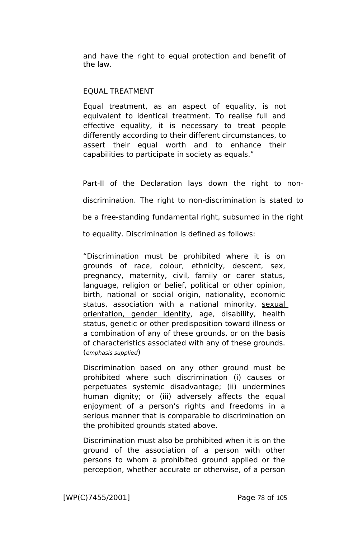and have the right to equal protection and benefit of the law.

#### EQUAL TREATMENT

Equal treatment, as an aspect of equality, is not equivalent to identical treatment. To realise full and effective equality, it is necessary to treat people differently according to their different circumstances, to assert their equal worth and to enhance their capabilities to participate in society as equals."

Part-II of the Declaration lays down the right to nondiscrimination. The right to non-discrimination is stated to be a free-standing fundamental right, subsumed in the right to equality. Discrimination is defined as follows:

"Discrimination must be prohibited where it is on grounds of race, colour, ethnicity, descent, sex, pregnancy, maternity, civil, family or carer status, language, religion or belief, political or other opinion, birth, national or social origin, nationality, economic status, association with a national minority, sexual orientation, gender identity, age, disability, health status, genetic or other predisposition toward illness or a combination of any of these grounds, or on the basis of characteristics associated with any of these grounds. (emphasis supplied)

Discrimination based on any other ground must be prohibited where such discrimination (i) causes or perpetuates systemic disadvantage; (ii) undermines human dignity; or (iii) adversely affects the equal enjoyment of a person's rights and freedoms in a serious manner that is comparable to discrimination on the prohibited grounds stated above.

Discrimination must also be prohibited when it is on the ground of the association of a person with other persons to whom a prohibited ground applied or the perception, whether accurate or otherwise, of a person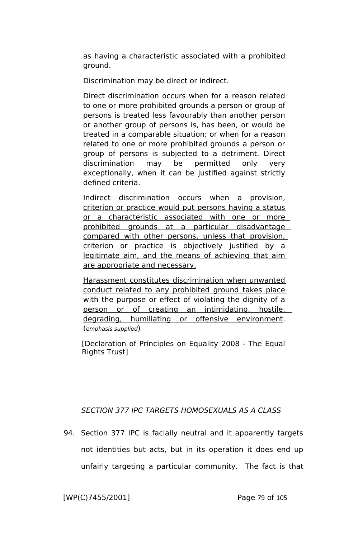as having a characteristic associated with a prohibited ground.

Discrimination may be direct or indirect.

Direct discrimination occurs when for a reason related to one or more prohibited grounds a person or group of persons is treated less favourably than another person or another group of persons is, has been, or would be treated in a comparable situation; or when for a reason related to one or more prohibited grounds a person or group of persons is subjected to a detriment. Direct discrimination may be permitted only very exceptionally, when it can be justified against strictly defined criteria.

Indirect discrimination occurs when a provision, criterion or practice would put persons having a status or a characteristic associated with one or more prohibited grounds at a particular disadvantage compared with other persons, unless that provision, criterion or practice is objectively justified by a legitimate aim, and the means of achieving that aim are appropriate and necessary.

Harassment constitutes discrimination when unwanted conduct related to any prohibited ground takes place with the purpose or effect of violating the dignity of a person or of creating an intimidating, hostile, degrading, humiliating or offensive environment. (emphasis supplied)

[Declaration of Principles on Equality 2008 - The Equal Rights Trust]

# SECTION 377 IPC TARGETS HOMOSEXUALS AS A CLASS

94. Section 377 IPC is facially neutral and it apparently targets not identities but acts, but in its operation it does end up unfairly targeting a particular community. The fact is that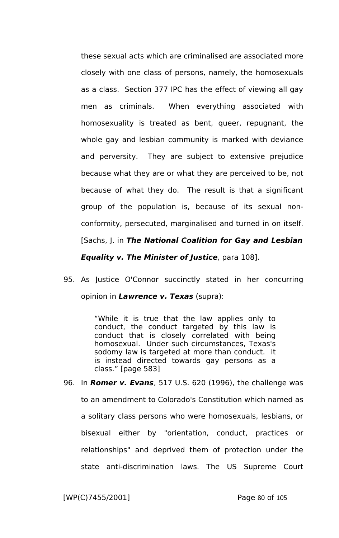these sexual acts which are criminalised are associated more closely with one class of persons, namely, the homosexuals as a class. Section 377 IPC has the effect of viewing all gay men as criminals. When everything associated with homosexuality is treated as bent, queer, repugnant, the whole gay and lesbian community is marked with deviance and perversity. They are subject to extensive prejudice because what they are or what they are perceived to be, not because of what they do. The result is that a significant group of the population is, because of its sexual nonconformity, persecuted, marginalised and turned in on itself. [Sachs, J. in **The National Coalition for Gay and Lesbian Equality v. The Minister of Justice**, para 108].

95. As Justice O'Connor succinctly stated in her concurring opinion in **Lawrence v. Texas** (supra):

> "While it is true that the law applies only to conduct, the conduct targeted by this law is conduct that is closely correlated with being homosexual. Under such circumstances, Texas's sodomy law is targeted at more than conduct. It is instead directed towards gay persons as a class." [page 583]

96. In **Romer v. Evans**, 517 U.S. 620 (1996), the challenge was to an amendment to Colorado's Constitution which named as a solitary class persons who were homosexuals, lesbians, or bisexual either by "orientation, conduct, practices or relationships" and deprived them of protection under the state anti-discrimination laws. The US Supreme Court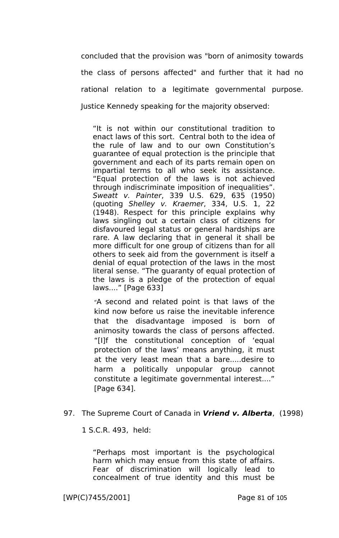concluded that the provision was "born of animosity towards the class of persons affected" and further that it had no rational relation to a legitimate governmental purpose. Justice Kennedy speaking for the majority observed:

"It is not within our constitutional tradition to enact laws of this sort. Central both to the idea of the rule of law and to our own Constitution's guarantee of equal protection is the principle that government and each of its parts remain open on impartial terms to all who seek its assistance. "Equal protection of the laws is not achieved through indiscriminate imposition of inequalities". Sweatt v. Painter, 339 U.S. 629, 635 (1950) (quoting Shelley v. Kraemer, 334, U.S. 1, 22 (1948). Respect for this principle explains why laws singling out a certain class of citizens for disfavoured legal status or general hardships are rare. A law declaring that in general it shall be more difficult for one group of citizens than for all others to seek aid from the government is itself a denial of equal protection of the laws in the most literal sense. "The guaranty of equal protection of the laws is a pledge of the protection of equal laws...." [Page 633]

"A second and related point is that laws of the kind now before us raise the inevitable inference that the disadvantage imposed is born of animosity towards the class of persons affected. "[I]f the constitutional conception of 'equal protection of the laws' means anything, it must at the very least mean that a bare.....desire to harm a politically unpopular group cannot constitute a legitimate governmental interest...." [Page 634].

#### 97. The Supreme Court of Canada in **Vriend v. Alberta**, (1998)

1 S.C.R. 493, held:

"Perhaps most important is the psychological harm which may ensue from this state of affairs. Fear of discrimination will logically lead to concealment of true identity and this must be

[WP(C)7455/2001] Page 81 of 105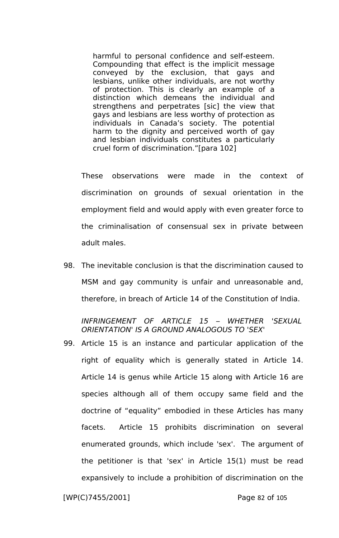harmful to personal confidence and self-esteem. Compounding that effect is the implicit message conveyed by the exclusion, that gays and lesbians, unlike other individuals, are not worthy of protection. This is clearly an example of a distinction which demeans the individual and strengthens and perpetrates [sic] the view that gays and lesbians are less worthy of protection as individuals in Canada's society. The potential harm to the dignity and perceived worth of gay and lesbian individuals constitutes a particularly cruel form of discrimination."[para 102]

These observations were made in the context of discrimination on grounds of sexual orientation in the employment field and would apply with even greater force to the criminalisation of consensual sex in private between adult males.

98. The inevitable conclusion is that the discrimination caused to MSM and gay community is unfair and unreasonable and, therefore, in breach of Article 14 of the Constitution of India.

INFRINGEMENT OF ARTICLE 15 – WHETHER 'SEXUAL ORIENTATION' IS A GROUND ANALOGOUS TO 'SEX'

99. Article 15 is an instance and particular application of the right of equality which is generally stated in Article 14. Article 14 is genus while Article 15 along with Article 16 are species although all of them occupy same field and the doctrine of "equality" embodied in these Articles has many facets. Article 15 prohibits discrimination on several enumerated grounds, which include 'sex'. The argument of the petitioner is that 'sex' in Article 15(1) must be read expansively to include a prohibition of discrimination on the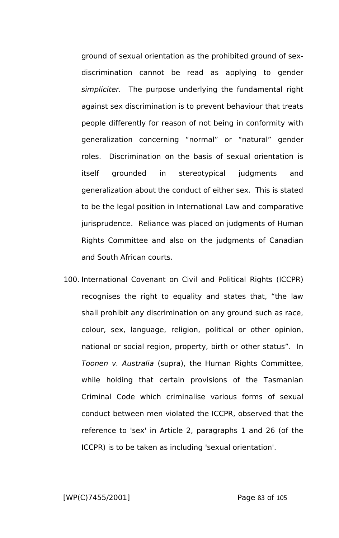ground of sexual orientation as the prohibited ground of sexdiscrimination cannot be read as applying to gender simpliciter. The purpose underlying the fundamental right against sex discrimination is to prevent behaviour that treats people differently for reason of not being in conformity with generalization concerning "normal" or "natural" gender roles. Discrimination on the basis of sexual orientation is itself grounded in stereotypical judgments and generalization about the conduct of either sex. This is stated to be the legal position in International Law and comparative jurisprudence. Reliance was placed on judgments of Human Rights Committee and also on the judgments of Canadian and South African courts.

100. International Covenant on Civil and Political Rights (ICCPR) recognises the right to equality and states that, "the law shall prohibit any discrimination on any ground such as race, colour, sex, language, religion, political or other opinion, national or social region, property, birth or other status". In Toonen v. Australia (supra), the Human Rights Committee, while holding that certain provisions of the Tasmanian Criminal Code which criminalise various forms of sexual conduct between men violated the ICCPR, observed that the reference to 'sex' in Article 2, paragraphs 1 and 26 (of the ICCPR) is to be taken as including 'sexual orientation'.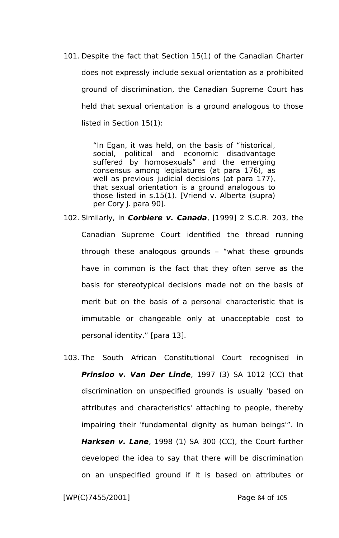101. Despite the fact that Section 15(1) of the Canadian Charter does not expressly include sexual orientation as a prohibited ground of discrimination, the Canadian Supreme Court has held that sexual orientation is a ground analogous to those listed in Section 15(1):

> "In Egan, it was held, on the basis of "historical, social, political and economic disadvantage suffered by homosexuals" and the emerging consensus among legislatures (at para 176), as well as previous judicial decisions (at para 177), that sexual orientation is a ground analogous to those listed in s.15(1). [Vriend v. Alberta (supra) per Cory J. para 90].

102. Similarly, in **Corbiere v. Canada**, [1999] 2 S.C.R. 203, the Canadian Supreme Court identified the thread running through these analogous grounds – "what these grounds have in common is the fact that they often serve as the basis for stereotypical decisions made not on the basis of merit but on the basis of a personal characteristic that is immutable or changeable only at unacceptable cost to personal identity." [para 13].

103. The South African Constitutional Court recognised in **Prinsloo v. Van Der Linde**, 1997 (3) SA 1012 (CC) that discrimination on unspecified grounds is usually 'based on attributes and characteristics' attaching to people, thereby impairing their 'fundamental dignity as human beings'". In **Harksen v. Lane**, 1998 (1) SA 300 (CC), the Court further developed the idea to say that there will be discrimination on an unspecified ground if it is based on attributes or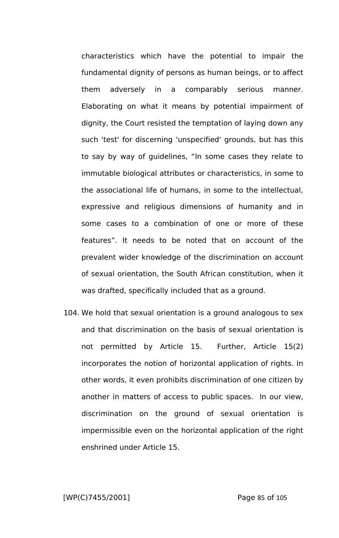characteristics which have the potential to impair the fundamental dignity of persons as human beings, or to affect them adversely in a comparably serious manner. Elaborating on what it means by potential impairment of dignity, the Court resisted the temptation of laying down any such 'test' for discerning 'unspecified' grounds, but has this to say by way of guidelines, "In some cases they relate to immutable biological attributes or characteristics, in some to the associational life of humans, in some to the intellectual, expressive and religious dimensions of humanity and in some cases to a combination of one or more of these features". It needs to be noted that on account of the prevalent wider knowledge of the discrimination on account of sexual orientation, the South African constitution, when it was drafted, specifically included that as a ground.

104. We hold that sexual orientation is a ground analogous to sex and that discrimination on the basis of sexual orientation is not permitted by Article 15. Further, Article 15(2) incorporates the notion of horizontal application of rights. In other words, it even prohibits discrimination of one citizen by another in matters of access to public spaces. In our view, discrimination on the ground of sexual orientation is impermissible even on the horizontal application of the right enshrined under Article 15.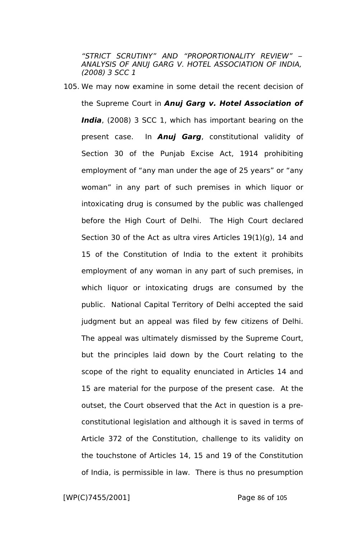"STRICT SCRUTINY" AND "PROPORTIONALITY REVIEW" – ANALYSIS OF ANUJ GARG V. HOTEL ASSOCIATION OF INDIA, (2008) 3 SCC 1

105. We may now examine in some detail the recent decision of the Supreme Court in **Anuj Garg v. Hotel Association of India**, (2008) 3 SCC 1, which has important bearing on the present case. In **Anuj Garg**, constitutional validity of Section 30 of the Punjab Excise Act, 1914 prohibiting employment of "any man under the age of 25 years" or "any woman" in any part of such premises in which liquor or intoxicating drug is consumed by the public was challenged before the High Court of Delhi. The High Court declared Section 30 of the Act as ultra vires Articles 19(1)(g), 14 and 15 of the Constitution of India to the extent it prohibits employment of any woman in any part of such premises, in which liquor or intoxicating drugs are consumed by the public. National Capital Territory of Delhi accepted the said judgment but an appeal was filed by few citizens of Delhi. The appeal was ultimately dismissed by the Supreme Court, but the principles laid down by the Court relating to the scope of the right to equality enunciated in Articles 14 and 15 are material for the purpose of the present case. At the outset, the Court observed that the Act in question is a preconstitutional legislation and although it is saved in terms of Article 372 of the Constitution, challenge to its validity on the touchstone of Articles 14, 15 and 19 of the Constitution of India, is permissible in law. There is thus no presumption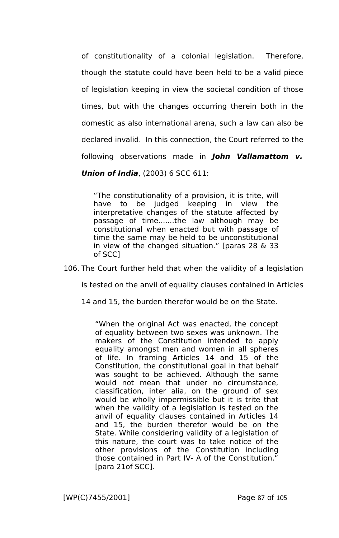of constitutionality of a colonial legislation. Therefore, though the statute could have been held to be a valid piece of legislation keeping in view the societal condition of those times, but with the changes occurring therein both in the domestic as also international arena, such a law can also be declared invalid. In this connection, the Court referred to the following observations made in **John Vallamattom v. Union of India**, (2003) 6 SCC 611:

"The constitutionality of a provision, it is trite, will have to be judged keeping in view the interpretative changes of the statute affected by passage of time.......the law although may be constitutional when enacted but with passage of time the same may be held to be unconstitutional in view of the changed situation." [paras 28 & 33 of SCC]

106. The Court further held that when the validity of a legislation

is tested on the anvil of equality clauses contained in Articles

14 and 15, the burden therefor would be on the State.

"When the original Act was enacted, the concept of equality between two sexes was unknown. The makers of the Constitution intended to apply equality amongst men and women in all spheres of life. In framing Articles 14 and 15 of the Constitution, the constitutional goal in that behalf was sought to be achieved. Although the same would not mean that under no circumstance, classification, inter alia, on the ground of sex would be wholly impermissible but it is trite that when the validity of a legislation is tested on the anvil of equality clauses contained in Articles 14 and 15, the burden therefor would be on the State. While considering validity of a legislation of this nature, the court was to take notice of the other provisions of the Constitution including those contained in Part IV- A of the Constitution." [para 21of SCC].

[WP(C)7455/2001] Page 87 of 105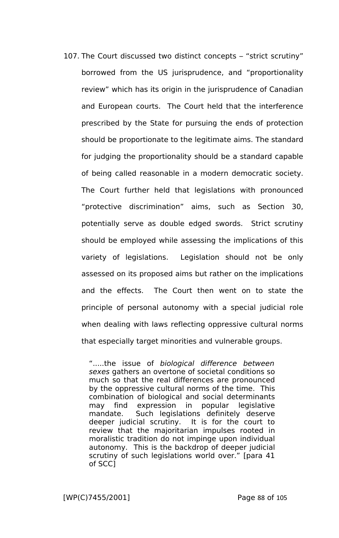107. The Court discussed two distinct concepts – "strict scrutiny" borrowed from the US jurisprudence, and "proportionality review" which has its origin in the jurisprudence of Canadian and European courts. The Court held that the interference prescribed by the State for pursuing the ends of protection should be proportionate to the legitimate aims. The standard for judging the proportionality should be a standard capable of being called reasonable in a modern democratic society. The Court further held that legislations with pronounced "protective discrimination" aims, such as Section 30, potentially serve as double edged swords. Strict scrutiny should be employed while assessing the implications of this variety of legislations. Legislation should not be only assessed on its proposed aims but rather on the implications and the effects. The Court then went on to state the principle of personal autonomy with a special judicial role when dealing with laws reflecting oppressive cultural norms that especially target minorities and vulnerable groups.

> ".....the issue of biological difference between sexes gathers an overtone of societal conditions so much so that the real differences are pronounced by the oppressive cultural norms of the time. This combination of biological and social determinants may find expression in popular legislative mandate. Such legislations definitely deserve deeper judicial scrutiny. It is for the court to review that the majoritarian impulses rooted in moralistic tradition do not impinge upon individual autonomy. This is the backdrop of deeper judicial scrutiny of such legislations world over." [para 41 of SCC]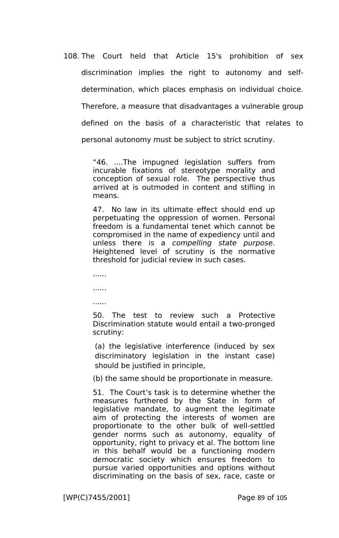108. The Court held that Article 15's prohibition of sex discrimination implies the right to autonomy and selfdetermination, which places emphasis on individual choice. Therefore, a measure that disadvantages a vulnerable group defined on the basis of a characteristic that relates to personal autonomy must be subject to strict scrutiny.

> "46. ....The impugned legislation suffers from incurable fixations of stereotype morality and conception of sexual role. The perspective thus arrived at is outmoded in content and stifling in means.

> 47. No law in its ultimate effect should end up perpetuating the oppression of women. Personal freedom is a fundamental tenet which cannot be compromised in the name of expediency until and unless there is a compelling state purpose. Heightened level of scrutiny is the normative threshold for judicial review in such cases.

......

......

......

50. The test to review such a Protective Discrimination statute would entail a two-pronged scrutiny:

(a) the legislative interference (induced by sex discriminatory legislation in the instant case) should be justified in principle,

(b) the same should be proportionate in measure.

51. The Court's task is to determine whether the measures furthered by the State in form of legislative mandate, to augment the legitimate aim of protecting the interests of women are proportionate to the other bulk of well-settled gender norms such as autonomy, equality of opportunity, right to privacy et al. The bottom line in this behalf would be a functioning modern democratic society which ensures freedom to pursue varied opportunities and options without discriminating on the basis of sex, race, caste or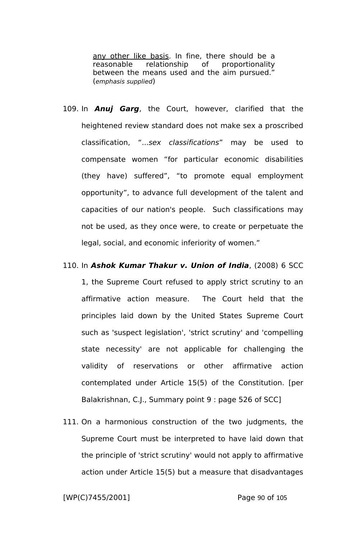any other like basis. In fine, there should be a reasonable relationship of proportionality between the means used and the aim pursued." (emphasis supplied)

- 109. In **Anuj Garg**, the Court, however, clarified that the heightened review standard does not make sex a proscribed classification, "...sex classifications" may be used to compensate women "for particular economic disabilities (they have) suffered", "to promote equal employment opportunity", to advance full development of the talent and capacities of our nation's people. Such classifications may not be used, as they once were, to create or perpetuate the legal, social, and economic inferiority of women."
- 110. In **Ashok Kumar Thakur v. Union of India**, (2008) 6 SCC 1, the Supreme Court refused to apply strict scrutiny to an affirmative action measure. The Court held that the principles laid down by the United States Supreme Court such as 'suspect legislation', 'strict scrutiny' and 'compelling state necessity' are not applicable for challenging the validity of reservations or other affirmative action contemplated under Article 15(5) of the Constitution. [per Balakrishnan, C.J., Summary point 9 : page 526 of SCC]
- 111. On a harmonious construction of the two judgments, the Supreme Court must be interpreted to have laid down that the principle of 'strict scrutiny' would not apply to affirmative action under Article 15(5) but a measure that disadvantages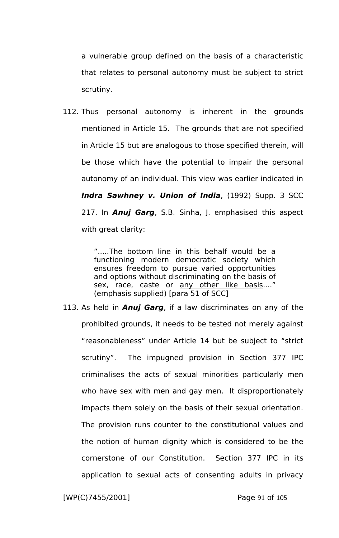a vulnerable group defined on the basis of a characteristic that relates to personal autonomy must be subject to strict scrutiny.

112. Thus personal autonomy is inherent in the grounds mentioned in Article 15. The grounds that are not specified in Article 15 but are analogous to those specified therein, will be those which have the potential to impair the personal autonomy of an individual. This view was earlier indicated in **Indra Sawhney v. Union of India**, (1992) Supp. 3 SCC 217. In **Anuj Garg**, S.B. Sinha, J. emphasised this aspect with great clarity:

> ".....The bottom line in this behalf would be a functioning modern democratic society which ensures freedom to pursue varied opportunities and options without discriminating on the basis of sex, race, caste or any other like basis...." (emphasis supplied) [para 51 of SCC]

113. As held in **Anuj Garg**, if a law discriminates on any of the prohibited grounds, it needs to be tested not merely against "reasonableness" under Article 14 but be subject to "strict scrutiny". The impugned provision in Section 377 IPC criminalises the acts of sexual minorities particularly men who have sex with men and gay men. It disproportionately impacts them solely on the basis of their sexual orientation. The provision runs counter to the constitutional values and the notion of human dignity which is considered to be the cornerstone of our Constitution. Section 377 IPC in its application to sexual acts of consenting adults in privacy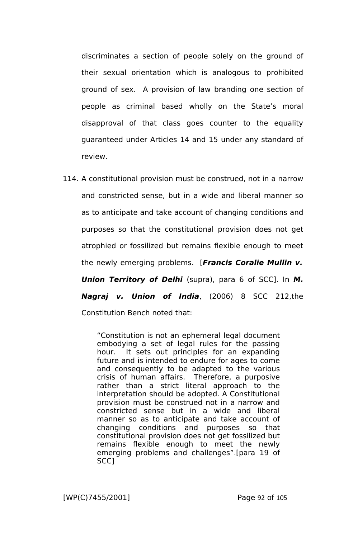discriminates a section of people solely on the ground of their sexual orientation which is analogous to prohibited ground of sex. A provision of law branding one section of people as criminal based wholly on the State's moral disapproval of that class goes counter to the equality guaranteed under Articles 14 and 15 under any standard of review.

114. A constitutional provision must be construed, not in a narrow and constricted sense, but in a wide and liberal manner so as to anticipate and take account of changing conditions and purposes so that the constitutional provision does not get atrophied or fossilized but remains flexible enough to meet the newly emerging problems. [**Francis Coralie Mullin v. Union Territory of Delhi** (supra), para 6 of SCC]. In **M. Nagraj v. Union of India**, (2006) 8 SCC 212,the Constitution Bench noted that:

> "Constitution is not an ephemeral legal document embodying a set of legal rules for the passing hour. It sets out principles for an expanding future and is intended to endure for ages to come and consequently to be adapted to the various crisis of human affairs. Therefore, a purposive rather than a strict literal approach to the interpretation should be adopted. A Constitutional provision must be construed not in a narrow and constricted sense but in a wide and liberal manner so as to anticipate and take account of changing conditions and purposes so that constitutional provision does not get fossilized but remains flexible enough to meet the newly emerging problems and challenges".[para 19 of SCC]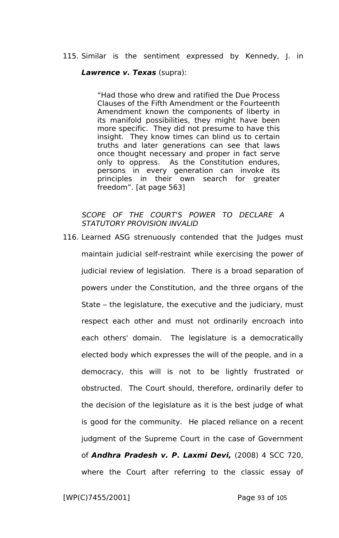#### 115. Similar is the sentiment expressed by Kennedy, J. in

**Lawrence v. Texas** (supra):

"Had those who drew and ratified the Due Process Clauses of the Fifth Amendment or the Fourteenth Amendment known the components of liberty in its manifold possibilities, they might have been more specific. They did not presume to have this insight. They know times can blind us to certain truths and later generations can see that laws once thought necessary and proper in fact serve only to oppress. As the Constitution endures, persons in every generation can invoke its principles in their own search for greater freedom". [at page 563]

## SCOPE OF THE COURT'S POWER TO DECLARE A STATUTORY PROVISION INVALID

116. Learned ASG strenuously contended that the Judges must maintain judicial self-restraint while exercising the power of judicial review of legislation. There is a broad separation of powers under the Constitution, and the three organs of the State – the legislature, the executive and the judiciary, must respect each other and must not ordinarily encroach into each others' domain. The legislature is a democratically elected body which expresses the will of the people, and in a democracy, this will is not to be lightly frustrated or obstructed. The Court should, therefore, ordinarily defer to the decision of the legislature as it is the best judge of what is good for the community. He placed reliance on a recent judgment of the Supreme Court in the case of Government of **Andhra Pradesh v. P. Laxmi Devi,** (2008) 4 SCC 720, where the Court after referring to the classic essay of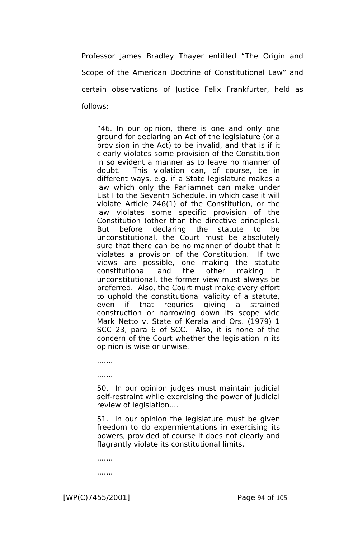Professor James Bradley Thayer entitled "The Origin and Scope of the American Doctrine of Constitutional Law" and certain observations of Justice Felix Frankfurter, held as follows:

"46. In our opinion, there is one and only one ground for declaring an Act of the legislature (or a provision in the Act) to be invalid, and that is if it clearly violates some provision of the Constitution in so evident a manner as to leave no manner of doubt. This violation can, of course, be in different ways, e.g. if a State legislature makes a law which only the Parliamnet can make under List I to the Seventh Schedule, in which case it will violate Article 246(1) of the Constitution, or the law violates some specific provision of the Constitution (other than the directive principles). But before declaring the statute to be unconstitutional, the Court must be absolutely sure that there can be no manner of doubt that it violates a provision of the Constitution. If two views are possible, one making the statute constitutional and the other making it unconstitutional, the former view must always be preferred. Also, the Court must make every effort to uphold the constitutional validity of a statute, even if that requries giving a strained construction or narrowing down its scope vide Mark Netto v. State of Kerala and Ors. (1979) 1 SCC 23, para 6 of SCC. Also, it is none of the concern of the Court whether the legislation in its opinion is wise or unwise.

50. In our opinion judges must maintain judicial self-restraint while exercising the power of judicial review of legislation....

51. In our opinion the legislature must be given freedom to do expermientations in exercising its powers, provided of course it does not clearly and flagrantly violate its constitutional limits.

.......

.......

.......

.......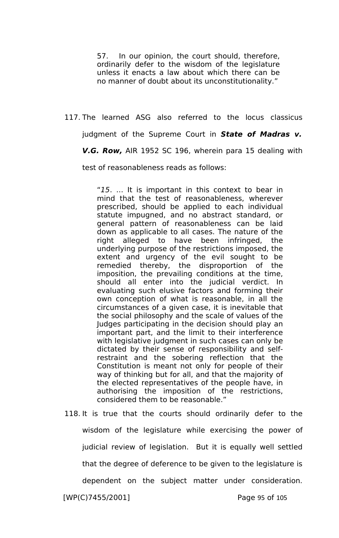57. In our opinion, the court should, therefore, ordinarily defer to the wisdom of the legislature unless it enacts a law about which there can be no manner of doubt about its unconstitutionality."

117. The learned ASG also referred to the locus classicus

judgment of the Supreme Court in **State of Madras v.**

**V.G. Row,** AIR 1952 SC 196, wherein para 15 dealing with

test of reasonableness reads as follows:

"15. … It is important in this context to bear in mind that the test of reasonableness, wherever prescribed, should be applied to each individual statute impugned, and no abstract standard, or general pattern of reasonableness can be laid down as applicable to all cases. The nature of the right alleged to have been infringed, the underlying purpose of the restrictions imposed, the extent and urgency of the evil sought to be remedied thereby, the disproportion of the imposition, the prevailing conditions at the time, should all enter into the judicial verdict. In evaluating such elusive factors and forming their own conception of what is reasonable, in all the circumstances of a given case, it is inevitable that the social philosophy and the scale of values of the Judges participating in the decision should play an important part, and the limit to their interference with legislative judgment in such cases can only be dictated by their sense of responsibility and selfrestraint and the sobering reflection that the Constitution is meant not only for people of their way of thinking but for all, and that the majority of the elected representatives of the people have, in authorising the imposition of the restrictions, considered them to be reasonable."

118. It is true that the courts should ordinarily defer to the wisdom of the legislature while exercising the power of judicial review of legislation. But it is equally well settled that the degree of deference to be given to the legislature is dependent on the subject matter under consideration.

[WP(C)7455/2001] Page 95 of 105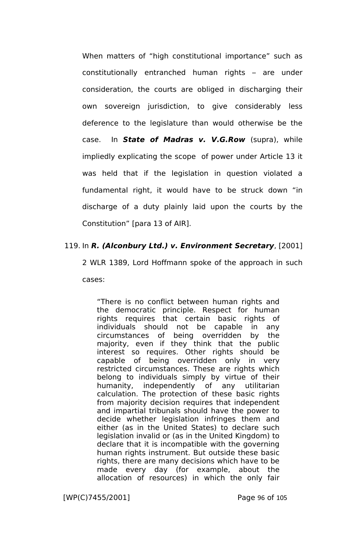When matters of "high constitutional importance" such as constitutionally entranched human rights – are under consideration, the courts are obliged in discharging their own sovereign jurisdiction, to give considerably less deference to the legislature than would otherwise be the case. In **State of Madras v. V.G.Row** (supra), while impliedly explicating the scope of power under Article 13 it was held that if the legislation in question violated a fundamental right, it would have to be struck down "in discharge of a duty plainly laid upon the courts by the Constitution" [para 13 of AIR].

## 119. In **R. (Alconbury Ltd.) v. Environment Secretary**, [2001]

2 WLR 1389, Lord Hoffmann spoke of the approach in such cases:

"There is no conflict between human rights and the democratic principle. Respect for human rights requires that certain basic rights of individuals should not be capable in any circumstances of being overridden by the majority, even if they think that the public interest so requires. Other rights should be capable of being overridden only in very restricted circumstances. These are rights which belong to individuals simply by virtue of their humanity, independently of any utilitarian calculation. The protection of these basic rights from majority decision requires that independent and impartial tribunals should have the power to decide whether legislation infringes them and either (as in the United States) to declare such legislation invalid or (as in the United Kingdom) to declare that it is incompatible with the governing human rights instrument. But outside these basic rights, there are many decisions which have to be made every day (for example, about the allocation of resources) in which the only fair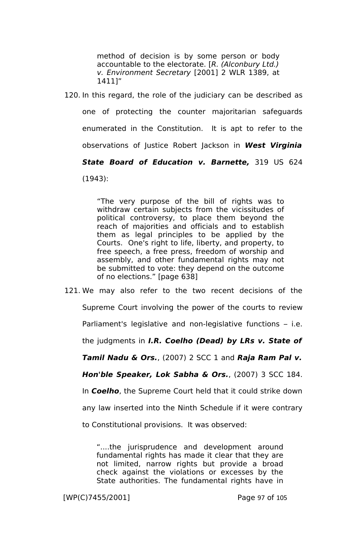method of decision is by some person or body accountable to the electorate. [R. (Alconbury Ltd.) v. Environment Secretary [2001] 2 WLR 1389, at 1411]"

120. In this regard, the role of the judiciary can be described as one of protecting the counter majoritarian safeguards enumerated in the Constitution. It is apt to refer to the observations of Justice Robert Jackson in **West Virginia State Board of Education v. Barnette,** 319 US 624 (1943):

> "The very purpose of the bill of rights was to withdraw certain subjects from the vicissitudes of political controversy, to place them beyond the reach of majorities and officials and to establish them as legal principles to be applied by the Courts. One's right to life, liberty, and property, to free speech, a free press, freedom of worship and assembly, and other fundamental rights may not be submitted to vote: they depend on the outcome of no elections." [page 638]

121. We may also refer to the two recent decisions of the Supreme Court involving the power of the courts to review

Parliament's legislative and non-legislative functions – i.e.

the judgments in **I.R. Coelho (Dead) by LRs v. State of**

**Tamil Nadu & Ors.**, (2007) 2 SCC 1 and **Raja Ram Pal v.**

**Hon'ble Speaker, Lok Sabha & Ors.**, (2007) 3 SCC 184.

In **Coelho**, the Supreme Court held that it could strike down

any law inserted into the Ninth Schedule if it were contrary

to Constitutional provisions. It was observed:

"....the jurisprudence and development around fundamental rights has made it clear that they are not limited, narrow rights but provide a broad check against the violations or excesses by the State authorities. The fundamental rights have in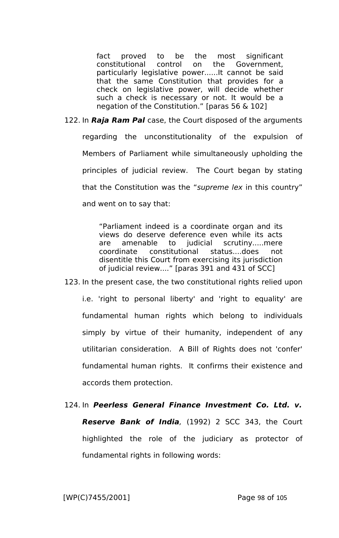fact proved to be the most significant constitutional control on the Government, particularly legislative power......It cannot be said that the same Constitution that provides for a check on legislative power, will decide whether such a check is necessary or not. It would be a negation of the Constitution." [paras 56 & 102]

## 122. In **Raja Ram Pal** case, the Court disposed of the arguments

regarding the unconstitutionality of the expulsion of Members of Parliament while simultaneously upholding the principles of judicial review. The Court began by stating that the Constitution was the "supreme lex in this country" and went on to say that:

"Parliament indeed is a coordinate organ and its views do deserve deference even while its acts are amenable to judicial scrutiny.....mere coordinate constitutional status....does not disentitle this Court from exercising its jurisdiction of judicial review...." [paras 391 and 431 of SCC]

- 123. In the present case, the two constitutional rights relied upon i.e. 'right to personal liberty' and 'right to equality' are fundamental human rights which belong to individuals simply by virtue of their humanity, independent of any utilitarian consideration. A Bill of Rights does not 'confer' fundamental human rights. It confirms their existence and accords them protection.
- 124. In **Peerless General Finance Investment Co. Ltd. v. Reserve Bank of India**, (1992) 2 SCC 343, the Court highlighted the role of the judiciary as protector of fundamental rights in following words:

[WP(C)7455/2001] Page 98 of 105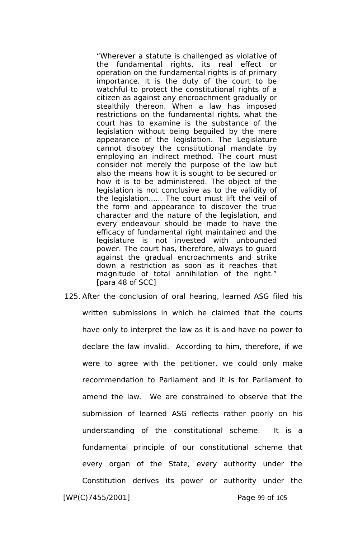"Wherever a statute is challenged as violative of the fundamental rights, its real effect or operation on the fundamental rights is of primary importance. It is the duty of the court to be watchful to protect the constitutional rights of a citizen as against any encroachment gradually or stealthily thereon. When a law has imposed restrictions on the fundamental rights, what the court has to examine is the substance of the legislation without being beguiled by the mere appearance of the legislation. The Legislature cannot disobey the constitutional mandate by employing an indirect method. The court must consider not merely the purpose of the law but also the means how it is sought to be secured or how it is to be administered. The object of the legislation is not conclusive as to the validity of the legislation...... The court must lift the veil of the form and appearance to discover the true character and the nature of the legislation, and every endeavour should be made to have the efficacy of fundamental right maintained and the legislature is not invested with unbounded power. The court has, therefore, always to guard against the gradual encroachments and strike down a restriction as soon as it reaches that magnitude of total annihilation of the right." [para 48 of SCC]

125. After the conclusion of oral hearing, learned ASG filed his written submissions in which he claimed that the courts have only to interpret the law as it is and have no power to declare the law invalid. According to him, therefore, if we were to agree with the petitioner, we could only make recommendation to Parliament and it is for Parliament to amend the law. We are constrained to observe that the submission of learned ASG reflects rather poorly on his understanding of the constitutional scheme. It is a fundamental principle of our constitutional scheme that every organ of the State, every authority under the Constitution derives its power or authority under the

[WP(C)7455/2001] Page 99 of 105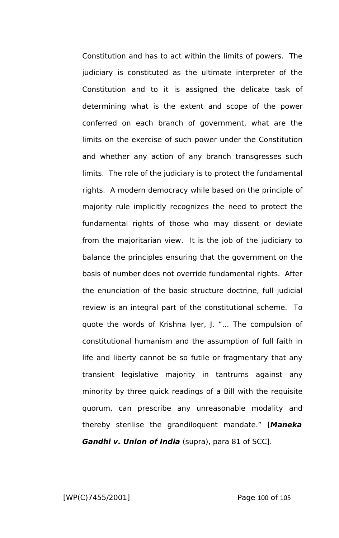Constitution and has to act within the limits of powers. The judiciary is constituted as the ultimate interpreter of the Constitution and to it is assigned the delicate task of determining what is the extent and scope of the power conferred on each branch of government, what are the limits on the exercise of such power under the Constitution and whether any action of any branch transgresses such limits. The role of the judiciary is to protect the fundamental rights. A modern democracy while based on the principle of majority rule implicitly recognizes the need to protect the fundamental rights of those who may dissent or deviate from the majoritarian view. It is the job of the judiciary to balance the principles ensuring that the government on the basis of number does not override fundamental rights. After the enunciation of the basic structure doctrine, full judicial review is an integral part of the constitutional scheme. To quote the words of Krishna Iyer, J. "... The compulsion of constitutional humanism and the assumption of full faith in life and liberty cannot be so futile or fragmentary that any transient legislative majority in tantrums against any minority by three quick readings of a Bill with the requisite quorum, can prescribe any unreasonable modality and thereby sterilise the grandiloquent mandate." [**Maneka Gandhi v. Union of India** (supra), para 81 of SCC].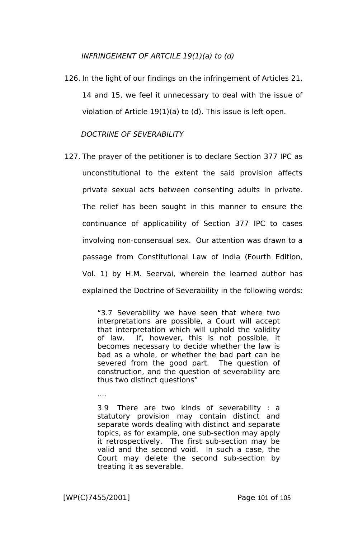INFRINGEMENT OF ARTCILE 19(1)(a) to (d)

126. In the light of our findings on the infringement of Articles 21, 14 and 15, we feel it unnecessary to deal with the issue of violation of Article 19(1)(a) to (d). This issue is left open.

DOCTRINE OF SEVERABILITY

127. The prayer of the petitioner is to declare Section 377 IPC as unconstitutional to the extent the said provision affects private sexual acts between consenting adults in private. The relief has been sought in this manner to ensure the continuance of applicability of Section 377 IPC to cases involving non-consensual sex. Our attention was drawn to a passage from Constitutional Law of India (Fourth Edition, Vol. 1) by H.M. Seervai, wherein the learned author has explained the Doctrine of Severability in the following words:

> "3.7 Severability we have seen that where two interpretations are possible, a Court will accept that interpretation which will uphold the validity of law. If, however, this is not possible, it becomes necessary to decide whether the law is bad as a whole, or whether the bad part can be severed from the good part. The question of construction, and the question of severability are thus two distinct questions"

> 3.9 There are two kinds of severability : a statutory provision may contain distinct and separate words dealing with distinct and separate topics, as for example, one sub-section may apply it retrospectively. The first sub-section may be valid and the second void. In such a case, the Court may delete the second sub-section by treating it as severable.

[WP(C)7455/2001] Page 101 of 105

....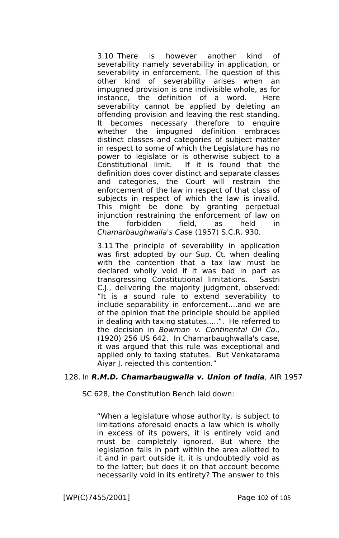3.10 There is however another kind of severability namely severability in application, or severability in enforcement. The question of this other kind of severability arises when an impugned provision is one indivisible whole, as for instance, the definition of a word. Here severability cannot be applied by deleting an offending provision and leaving the rest standing. It becomes necessary therefore to enquire whether the impugned definition embraces distinct classes and categories of subject matter in respect to some of which the Legislature has no power to legislate or is otherwise subject to a Constitutional limit. If it is found that the definition does cover distinct and separate classes and categories, the Court will restrain the enforcement of the law in respect of that class of subjects in respect of which the law is invalid. This might be done by granting perpetual injunction restraining the enforcement of law on the forbidden field, as held in Chamarbaughwalla's Case (1957) S.C.R. 930.

3.11 The principle of severability in application was first adopted by our Sup. Ct. when dealing with the contention that a tax law must be declared wholly void if it was bad in part as transgressing Constitutional limitations. Sastri C.J., delivering the majority judgment, observed: "It is a sound rule to extend severability to include separability in enforcement....and we are of the opinion that the principle should be applied in dealing with taxing statutes.....". He referred to the decision in Bowman v. Continental Oil Co., (1920) 256 US 642. In Chamarbaughwalla's case, it was argued that this rule was exceptional and applied only to taxing statutes. But Venkatarama Aiyar J. rejected this contention."

## 128. In **R.M.D. Chamarbaugwalla v. Union of India**, AIR 1957

SC 628, the Constitution Bench laid down:

"When a legislature whose authority, is subject to limitations aforesaid enacts a law which is wholly in excess of its powers, it is entirely void and must be completely ignored. But where the legislation falls in part within the area allotted to it and in part outside it, it is undoubtedly void as to the latter; but does it on that account become necessarily void in its entirety? The answer to this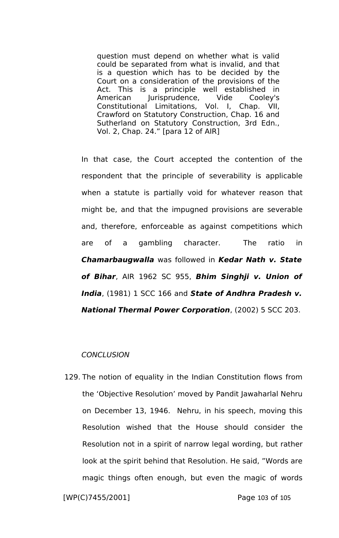question must depend on whether what is valid could be separated from what is invalid, and that is a question which has to be decided by the Court on a consideration of the provisions of the Act. This is a principle well established in American Jurisprudence, Vide Cooley's Constitutional Limitations, Vol. I, Chap. VII, Crawford on Statutory Construction, Chap. 16 and Sutherland on Statutory Construction, 3rd Edn., Vol. 2, Chap. 24." [para 12 of AIR]

In that case, the Court accepted the contention of the respondent that the principle of severability is applicable when a statute is partially void for whatever reason that might be, and that the impugned provisions are severable and, therefore, enforceable as against competitions which are of a gambling character. The ratio in **Chamarbaugwalla** was followed in **Kedar Nath v. State of Bihar**, AIR 1962 SC 955, **Bhim Singhji v. Union of India**, (1981) 1 SCC 166 and **State of Andhra Pradesh v. National Thermal Power Corporation**, (2002) 5 SCC 203.

#### **CONCLUSION**

129. The notion of equality in the Indian Constitution flows from the 'Objective Resolution' moved by Pandit Jawaharlal Nehru on December 13, 1946. Nehru, in his speech, moving this Resolution wished that the House should consider the Resolution not in a spirit of narrow legal wording, but rather look at the spirit behind that Resolution. He said, "Words are magic things often enough, but even the magic of words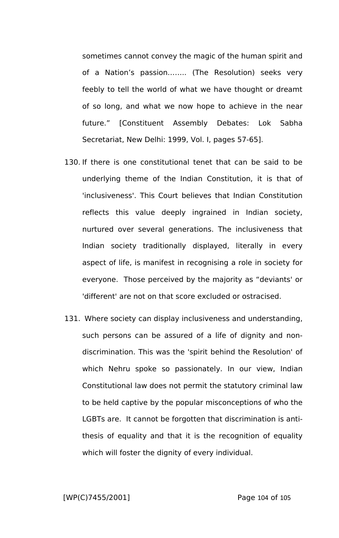sometimes cannot convey the magic of the human spirit and of a Nation's passion…….. (The Resolution) seeks very feebly to tell the world of what we have thought or dreamt of so long, and what we now hope to achieve in the near future." [Constituent Assembly Debates: Lok Sabha Secretariat, New Delhi: 1999, Vol. I, pages 57-65].

- 130. If there is one constitutional tenet that can be said to be underlying theme of the Indian Constitution, it is that of 'inclusiveness'. This Court believes that Indian Constitution reflects this value deeply ingrained in Indian society, nurtured over several generations. The inclusiveness that Indian society traditionally displayed, literally in every aspect of life, is manifest in recognising a role in society for everyone. Those perceived by the majority as "deviants' or 'different' are not on that score excluded or ostracised.
- 131. Where society can display inclusiveness and understanding, such persons can be assured of a life of dignity and nondiscrimination. This was the 'spirit behind the Resolution' of which Nehru spoke so passionately. In our view, Indian Constitutional law does not permit the statutory criminal law to be held captive by the popular misconceptions of who the LGBTs are. It cannot be forgotten that discrimination is antithesis of equality and that it is the recognition of equality which will foster the dignity of every individual.